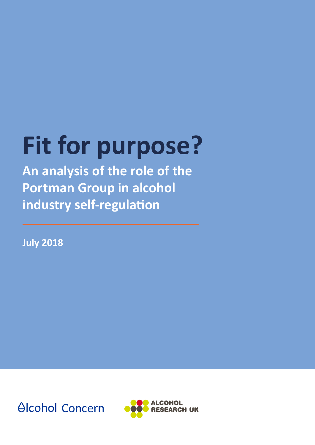# **Fit for purpose?**

**An analysis of the role of the Portman Group in alcohol industry self-regulation** 

**July 2018**

**Alcohol Concern** 

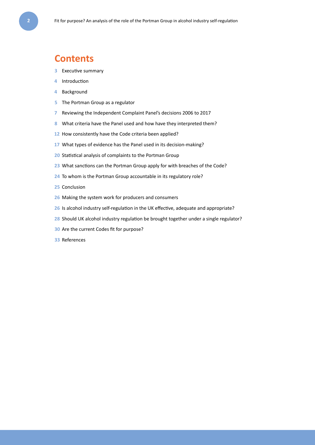### **Contents**

- Executive summary
- Introduction
- Background
- The Portman Group as a regulator
- Reviewing the Independent Complaint Panel's decisions 2006 to 2017
- What criteria have the Panel used and how have they interpreted them?
- How consistently have the Code criteria been applied?
- What types of evidence has the Panel used in its decision-making?
- Statistical analysis of complaints to the Portman Group
- What sanctions can the Portman Group apply for with breaches of the Code?
- To whom is the Portman Group accountable in its regulatory role?
- Conclusion
- Making the system work for producers and consumers
- Is alcohol industry self-regulation in the UK effective, adequate and appropriate?
- Should UK alcohol industry regulation be brought together under a single regulator?
- Are the current Codes fit for purpose?
- References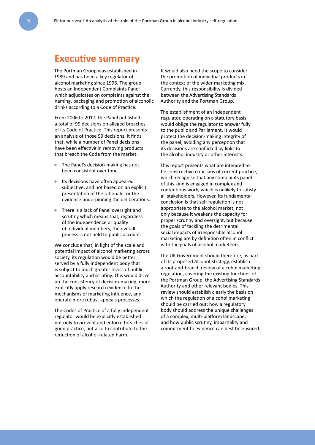### **Executive summary**

The Portman Group was established in 1989 and has been a key regulator of alcohol marketing since 1996. The group hosts an Independent Complaints Panel which adjudicates on complaints against the naming, packaging and promotion of alcoholic drinks according to a Code of Practice.

From 2006 to 2017, the Panel published a total of 99 decisions on alleged breaches of its Code of Practice. This report presents an analysis of those 99 decisions. It finds that, while a number of Panel decisions have been effective in removing products that breach the Code from the market:

- The Panel's decision-making has not been consistent over time.
- Its decisions have often appeared subjective, and not based on an explicit presentation of the rationale, or the evidence underpinning the deliberations.
- There is a lack of Panel oversight and scrutiny which means that, regardless of the independence or quality of individual members, the overall process is not held to public account.

We conclude that, in light of the scale and potential impact of alcohol marketing across society, its regulation would be better served by a fully independent body that is subject to much greater levels of public accountability and scrutiny. This would drive up the consistency of decision-making, more explicitly apply research evidence to the mechanisms of marketing influence, and operate more robust appeals processes.

The Codes of Practice of a fully independent regulator would be explicitly established not only to prevent and enforce breaches of good practice, but also to contribute to the reduction of alcohol-related harm.

It would also need the scope to consider the promotion of individual products in the context of the wider marketing mix. Currently, this responsibility is divided between the Advertising Standards Authority and the Portman Group.

The establishment of an independent regulator, operating on a statutory basis, would oblige the regulator to answer fully to the public and Parliament. It would protect the decision-making integrity of the panel, avoiding any perception that its decisions are conflicted by links to the alcohol industry or other interests.

This report presents what are intended to be constructive criticisms of current practice, which recognise that any complaints panel of this kind is engaged in complex and contentious work, which is unlikely to satisfy all stakeholders. However, its fundamental conclusion is that self-regulation is not appropriate to the alcohol market, not only because it weakens the capacity for proper scrutiny and oversight, but because the goals of tackling the detrimental social impacts of irresponsible alcohol marketing are by definition often in conflict with the goals of alcohol marketeers.

The UK Government should therefore, as part of its proposed Alcohol Strategy, establish a root-and-branch review of alcohol marketing regulation, covering the existing functions of the Portman Group, the Advertising Standards Authority and other relevant bodies. This review should establish clearly the basis on which the regulation of alcohol marketing should be carried out; how a regulatory body should address the unique challenges of a complex, multi-platform landscape; and how public scrutiny, impartiality and commitment to evidence can best be ensured.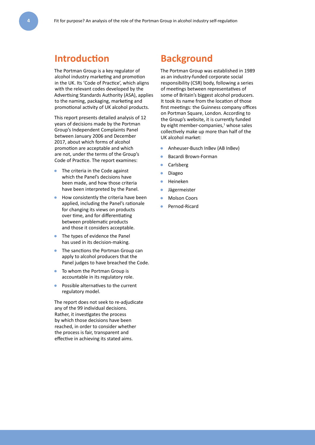### **Introduction**

The Portman Group is a key regulator of alcohol industry marketing and promotion in the UK. Its 'Code of Practice', which aligns with the relevant codes developed by the Advertising Standards Authority (ASA), applies to the naming, packaging, marketing and promotional activity of UK alcohol products.

This report presents detailed analysis of 12 years of decisions made by the Portman Group's Independent Complaints Panel between January 2006 and December 2017, about which forms of alcohol promotion are acceptable and which are not, under the terms of the Group's Code of Practice. The report examines:

- The criteria in the Code against which the Panel's decisions have been made, and how those criteria have been interpreted by the Panel.
- How consistently the criteria have been applied, including the Panel's rationale for changing its views on products over time, and for differentiating between problematic products and those it considers acceptable.
- The types of evidence the Panel has used in its decision-making.
- The sanctions the Portman Group can apply to alcohol producers that the Panel judges to have breached the Code.
- To whom the Portman Group is accountable in its regulatory role.
- Possible alternatives to the current regulatory model.

The report does not seek to re-adjudicate any of the 99 individual decisions. Rather, it investigates the process by which those decisions have been reached, in order to consider whether the process is fair, transparent and effective in achieving its stated aims.

### **Background**

The Portman Group was established in 1989 as an industry-funded corporate social responsibility (CSR) body, following a series of meetings between representatives of some of Britain's biggest alcohol producers. It took its name from the location of those first meetings: the Guinness company offices on Portman Square, London. According to the Group's website, it is currently funded by eight member-companies,<sup>1</sup> whose sales collectively make up more than half of the UK alcohol market:

- Anheuser-Busch InBev (AB InBev)
- Bacardi Brown-Forman
- **Carlsberg**
- Diageo
- Heineken
- **Jägermeister**
- **Molson Coors**
- Pernod-Ricard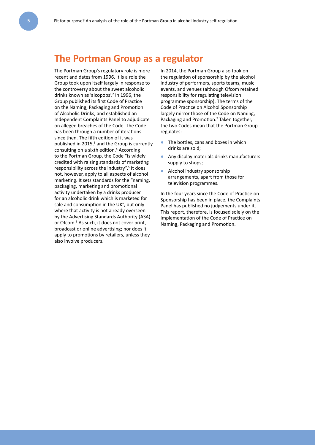### **The Portman Group as a regulator**

The Portman Group's regulatory role is more recent and dates from 1996. It is a role the Group took upon itself largely in response to the controversy about the sweet alcoholic drinks known as 'alcopops'.<sup>2</sup> In 1996, the Group published its first Code of Practice on the Naming, Packaging and Promotion of Alcoholic Drinks, and established an Independent Complaints Panel to adjudicate on alleged breaches of the Code. The Code has been through a number of iterations since then. The fifth edition of it was published in  $2015$ ,<sup>3</sup> and the Group is currently consulting on a sixth edition.<sup>4</sup> According to the Portman Group, the Code "is widely credited with raising standards of marketing responsibility across the industry".<sup>5</sup> It does not, however, apply to all aspects of alcohol marketing. It sets standards for the "naming, packaging, marketing and promotional activity undertaken by a drinks producer for an alcoholic drink which is marketed for sale and consumption in the UK", but only where that activity is not already overseen by the Advertising Standards Authority (ASA) or Ofcom.<sup>6</sup> As such, it does not cover print, broadcast or online advertising; nor does it apply to promotions by retailers, unless they also involve producers.

In 2014, the Portman Group also took on the regulation of sponsorship by the alcohol industry of performers, sports teams, music events, and venues (although Ofcom retained responsibility for regulating television programme sponsorship). The terms of the Code of Practice on Alcohol Sponsorship largely mirror those of the Code on Naming, Packaging and Promotion.<sup>7</sup> Taken together, the two Codes mean that the Portman Group regulates:

- The bottles, cans and boxes in which drinks are sold;
- Any display materials drinks manufacturers supply to shops;
- Alcohol industry sponsorship arrangements, apart from those for television programmes.

In the four years since the Code of Practice on Sponsorship has been in place, the Complaints Panel has published no judgements under it. This report, therefore, is focused solely on the implementation of the Code of Practice on Naming, Packaging and Promotion.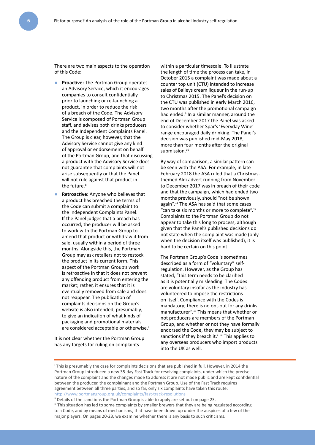There are two main aspects to the operation of this Code:

- **Proactive:** The Portman Group operates an Advisory Service, which it encourages companies to consult confidentially prior to launching or re-launching a product, in order to reduce the risk of a breach of the Code. The Advisory Service is composed of Portman Group staff, and advises both drinks producers and the Independent Complaints Panel. The Group is clear, however, that the Advisory Service cannot give any kind of approval or endorsement on behalf of the Portman Group, and that discussing a product with the Advisory Service does not guarantee that complaints will not arise subsequently or that the Panel will not rule against that product in the future.<sup>8</sup>
- **Retroactive:** Anyone who believes that a product has breached the terms of the Code can submit a complaint to the Independent Complaints Panel. If the Panel judges that a breach has occurred, the producer will be asked to work with the Portman Group to amend that product or withdraw it from sale, usually within a period of three months. Alongside this, the Portman Group may ask retailers not to restock the product in its current form. This aspect of the Portman Group's work is retroactive in that it does not prevent any offending product from entering the market; rather, it ensures that it is eventually removed from sale and does not reappear. The publication of complaints decisions on the Group's website is also intended, presumably, to give an indication of what kinds of packaging and promotional materials are considered acceptable or otherwise.<sup>i</sup>

It is not clear whether the Portman Group has any targets for ruling on complaints

within a particular timescale. To illustrate the length of time the process can take, in October 2015 a complaint was made about a counter top unit (CTU) intended to increase sales of Baileys cream liqueur in the run-up to Christmas 2015. The Panel's decision on the CTU was published in early March 2016, two months after the promotional campaign had ended.<sup>9</sup> In a similar manner, around the end of December 2017 the Panel was asked to consider whether Spar's 'Everyday Wine' range encouraged daily drinking. The Panel's decision was published mid-May 2018, more than four months after the original submission.<sup>10</sup>

By way of comparison, a similar pattern can be seen with the ASA. For example, in late February 2018 the ASA ruled that a Christmasthemed Aldi advert running from November to December 2017 was in breach of their code and that the campaign, which had ended two months previously, should "not be shown again".11 The ASA has said that some cases "can take six months or more to complete".12 Complaints to the Portman Group do not appear to take this long to process, although given that the Panel's published decisions do not state when the complaint was made (only when the decision itself was published), it is hard to be certain on this point.

The Portman Group's Code is sometimes described as a form of "voluntary" selfregulation. However, as the Group has stated, "this term needs to be clarified as it is potentially misleading. The Codes are voluntary insofar as the industry has volunteered to impose the restrictions on itself. Compliance with the Codes is mandatory; there is no opt-out for any drinks manufacturer".13 This means that whether or not producers are members of the Portman Group, and whether or not they have formally endorsed the Code, they may be subject to sanctions if they breach it.<sup>ii. iii</sup> This applies to any overseas producers who import products into the UK as well.

i This is presumably the case for complaints decisions that are published in full. However, in 2014 the Portman Group introduced a new 35-day Fast Track for resolving complaints, under which the precise nature of the complaint and the changes made to address it are not made public and are kept confidential between the producer, the complainant and the Portman Group. Use of the Fast Track requires agreement between all three parties, and so far, only six complaints have taken this route: http://www.portmangroup.org.uk/complaints/fast-track-resolutions

ii Details of the sanctions the Portman Group is able to apply are set out on page 23.

iii This situation has led to some complaints by smaller brewers that they are being regulated according to a Code, and by means of mechanisms, that have been drawn up under the auspices of a few of the major players. On pages 20-23, we examine whether there is any basis to such criticisms.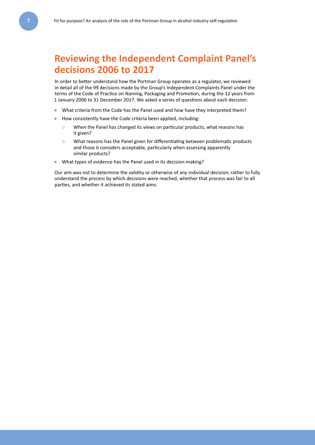### **Reviewing the Independent Complaint Panel's decisions 2006 to 2017**

In order to better understand how the Portman Group operates as a regulator, we reviewed in detail all of the 99 decisions made by the Group's Independent Complaints Panel under the terms of the Code of Practice on Naming, Packaging and Promotion, during the 12 years from 1 January 2006 to 31 December 2017. We asked a series of questions about each decision:

- What criteria from the Code has the Panel used and how have they interpreted them?
- How consistently have the Code criteria been applied, including:
	- **○** When the Panel has changed its views on particular products, what reasons has it given?
	- **○** What reasons has the Panel given for differentiating between problematic products and those it considers acceptable, particularly when assessing apparently similar products?
- What types of evidence has the Panel used in its decision-making?

Our aim was not to determine the validity or otherwise of any individual decision; rather to fully understand the process by which decisions were reached, whether that process was fair to all parties, and whether it achieved its stated aims.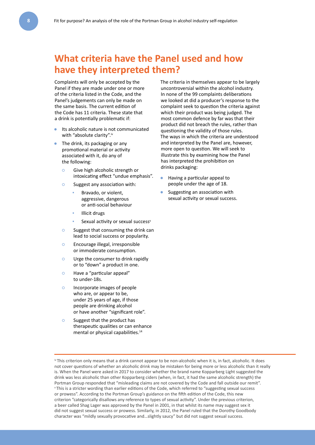### **What criteria have the Panel used and how have they interpreted them?**

Complaints will only be accepted by the Panel if they are made under one or more of the criteria listed in the Code, and the Panel's judgements can only be made on the same basis. The current edition of the Code has 11 criteria. These state that a drink is potentially problematic if:

- Its alcoholic nature is not communicated with "absolute clarity".iv
- The drink, its packaging or any promotional material or activity associated with it, do any of the following:
	- **○** Give high alcoholic strength or intoxicating effect "undue emphasis".
	- **○** Suggest any association with:
		- **▪** Bravado, or violent, aggressive, dangerous or anti-social behaviour
		- **▪** Illicit drugs
			- Sexual activity or sexual success<sup>v</sup>
	- **○** Suggest that consuming the drink can lead to social success or popularity.
	- **○** Encourage illegal, irresponsible or immoderate consumption.
	- **○** Urge the consumer to drink rapidly or to "down" a product in one.
	- **○** Have a "particular appeal" to under-18s.
	- **○** Incorporate images of people who are, or appear to be. under 25 years of age, if those people are drinking alcohol or have another "significant role".
	- **○** Suggest that the product has therapeutic qualities or can enhance mental or physical capabilities.<sup>14</sup>

The criteria in themselves appear to be largely uncontroversial within the alcohol industry. In none of the 99 complaints deliberations we looked at did a producer's response to the complaint seek to question the criteria against which their product was being judged. The most common defence by far was that their product did not breach the rules, rather than questioning the validity of those rules. The ways in which the criteria are understood and interpreted by the Panel are, however, more open to question. We will seek to illustrate this by examining how the Panel has interpreted the prohibition on drinks packaging:

- Having a particular appeal to people under the age of 18.
- Suggesting an association with sexual activity or sexual success.

iv This criterion only means that a drink cannot appear to be non-alcoholic when it is, in fact, alcoholic. It does not cover questions of whether an alcoholic drink may be mistaken for being more or less alcoholic than it really is. When the Panel were asked in 2017 to consider whether the brand name Kopparberg Light suggested the drink was less alcoholic than other Kopparberg ciders (when, in fact, it had the same alcoholic strength) the Portman Group responded that "misleading claims are not covered by the Code and fall outside our remit". v This is a stricter wording than earlier editions of the Code, which referred to "suggesting sexual success or prowess". According to the Portman Group's guidance on the fifth edition of the Code, this new criterion "categorically disallows any reference to types of sexual activity". Under the previous criterion, a beer called Shag Lager was approved by the Panel in 2001, in that whilst its name may suggest sex it did not suggest sexual success or prowess. Similarly, in 2012, the Panel ruled that the Dorothy Goodbody character was "mildly sexually provocative and…slightly saucy" but did not suggest sexual success.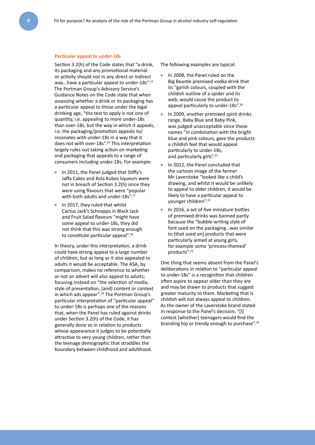#### **Particular appeal to under-18s**

Section 3.2(h) of the Code states that "a drink, its packaging and any promotional material or activity should not in any direct or indirect way... have a particular appeal to under-18s".<sup>15</sup> The Portman Group's Advisory Service's Guidance Notes on the Code state that when assessing whether a drink or its packaging has a particular appeal to those under the legal drinking age, "the test to apply is not one of quantity, i.e. appealing to more under-18s than over-18s, but the way in which it appeals, i.e. the packaging/promotion appeals to/ resonates with under-18s in a way that it does not with over-18s".16 This interpretation largely rules out taking action on marketing and packaging that appeals to a range of consumers including under-18s. For example:

- In 2011, the Panel judged that Stiffy's Jaffa Cakes and Kola Kubez liqueurs were not in breach of Section 3.2(h) since they were using flavours that were "popular with both adults and under-18s".<sup>17</sup>
- In 2017, they ruled that whilst Cactus Jack's Schnapps in Black Jack and Fruit Salad flavours "might have some appeal to under-18s, they did not think that this was strong enough to constitute particular appeal".18

In theory, under this interpretation, a drink could have strong appeal to a large number of children, but as long as it also appealed to adults it would be acceptable. The ASA, by comparison, makes no reference to whether or not an advert will also appeal to adults; focusing instead on "the selection of media, style of presentation, [and] content or context in which ads appear".19 The Portman Group's particular interpretation of "particular appeal" to under-18s is perhaps one of the reasons that, when the Panel has ruled against drinks under Section 3.2(h) of the Code, it has generally done so in relation to products whose appearance it judges to be potentially attractive to very young children, rather than the teenage demographic that straddles the boundary between childhood and adulthood.

The following examples are typical:

- In 2008, the Panel ruled on the Big Beastie premixed vodka drink that its "garish colours, coupled with the childish outline of a spider and its web, would cause the product to appeal particularly to under-18s".<sup>20</sup>
- In 2009, another premixed spirit drinks range, Baby Blue and Baby Pink, was judged unacceptable since these names "in combination with the bright blue and pink colours, gave the products a childish feel that would appeal particularly to under-18s, and particularly girls".<sup>21</sup>
- In 2012, the Panel concluded that the cartoon image of the farmer Mr Laverstoke "looked like a child's drawing, and whilst it would be unlikely to appeal to older children, it would be likely to have a particular appeal to younger children".22
- In 2016, a set of five miniature bottles of premixed drinks was banned partly because the "bubble writing style of font used on the packaging...was similar to [that used on] products that were particularly aimed at young girls, for example some 'princess-themed' products".23

One thing that seems absent from the Panel's deliberations in relation to "particular appeal to under-18s" is a recognition that children often aspire to appear older than they are and may be drawn to products that suggest greater maturity to them. Marketing that is childish will not always appeal to children. As the owner of the Laverstoke brand stated in response to the Panel's decision, "[I] contest [whether] teenagers would find the branding hip or trendy enough to purchase".<sup>24</sup>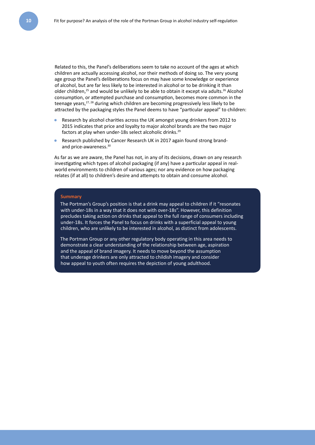Related to this, the Panel's deliberations seem to take no account of the ages at which children are actually accessing alcohol, nor their methods of doing so. The very young age group the Panel's deliberations focus on may have some knowledge or experience of alcohol, but are far less likely to be interested in alcohol or to be drinking it than older children,<sup>25</sup> and would be unlikely to be able to obtain it except via adults.<sup>26</sup> Alcohol consumption, or attempted purchase and consumption, becomes more common in the teenage years, $27, 28$  during which children are becoming progressively less likely to be attracted by the packaging styles the Panel deems to have "particular appeal" to children:

- Research by alcohol charities across the UK amongst young drinkers from 2012 to 2015 indicates that price and loyalty to major alcohol brands are the two major factors at play when under-18s select alcoholic drinks.<sup>29</sup>
- Research published by Cancer Research UK in 2017 again found strong brandand price-awareness.<sup>30</sup>

As far as we are aware, the Panel has not, in any of its decisions, drawn on any research investigating which types of alcohol packaging (if any) have a particular appeal in realworld environments to children of various ages; nor any evidence on how packaging relates (if at all) to children's desire and attempts to obtain and consume alcohol.

#### **Summary**

The Portman's Group's position is that a drink may appeal to children if it "resonates with under-18s in a way that it does not with over-18s". However, this definition precludes taking action on drinks that appeal to the full range of consumers including under-18s. It forces the Panel to focus on drinks with a superficial appeal to young children, who are unlikely to be interested in alcohol, as distinct from adolescents.

The Portman Group or any other regulatory body operating in this area needs to demonstrate a clear understanding of the relationship between age, aspiration and the appeal of brand imagery. It needs to move beyond the assumption that underage drinkers are only attracted to childish imagery and consider how appeal to youth often requires the depiction of young adulthood.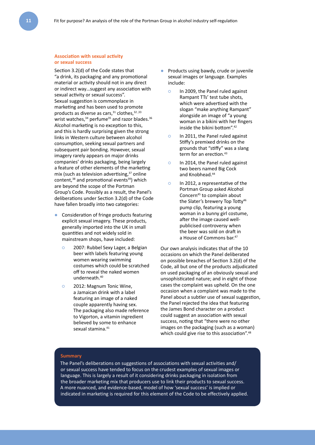#### **Association with sexual activity or sexual success**

Section 3.2(d) of the Code states that "a drink, its packaging and any promotional material or activity should not in any direct or indirect way…suggest any association with sexual activity or sexual success". Sexual suggestion is commonplace in marketing and has been used to promote products as diverse as cars,  $31$  clothes,  $32,33$ wrist watches,<sup>34</sup> perfume<sup>35</sup> and razor blades.<sup>36</sup> Alcohol marketing is no exception to this, and this is hardly surprising given the strong links in Western culture between alcohol consumption, seeking sexual partners and subsequent pair bonding. However, sexual imagery rarely appears on major drinks companies' drinks packaging, being largely a feature of other elements of the marketing mix (such as television advertising,<sup>37</sup> online content,<sup>38</sup> and promotional events<sup>39</sup>) which are beyond the scope of the Portman Group's Code. Possibly as a result, the Panel's deliberations under Section 3.2(d) of the Code have fallen broadly into two categories:

- Consideration of fringe products featuring explicit sexual imagery. These products, generally imported into the UK in small quantities and not widely sold in mainstream shops, have included:
	- **○** 2007: Rubbel Sexy Lager, a Belgian beer with labels featuring young women wearing swimming costumes which could be scratched off to reveal the naked women underneath.40
	- **○** 2012: Magnum Tonic Wine, a Jamaican drink with a label featuring an image of a naked couple apparently having sex. The packaging also made reference to Vigorton, a vitamin ingredient believed by some to enhance sexual stamina.<sup>41</sup>
- Products using bawdy, crude or juvenile sexual images or language. Examples include:
	- **○** In 2009, the Panel ruled against Rampant TTs' test tube shots, which were advertised with the slogan "make anything Rampant" alongside an image of "a young woman in a bikini with her fingers inside the bikini bottom".42
	- **○** In 2011, the Panel ruled against Stiffy's premixed drinks on the grounds that "stiffy" was a slang term for an erection.<sup>43</sup>
	- **○** In 2014, the Panel ruled against two beers named Big Cock and Knobhead.<sup>44</sup>
	- **○** In 2012, a representative of the Portman Group asked Alcohol Concern45 to complain about the Slater's brewery Top Tottv<sup>46</sup> pump clip, featuring a young woman in a bunny girl costume, after the image caused wellpublicised controversy when the beer was sold on draft in a House of Commons bar.47

Our own analysis indicates that of the 10 occasions on which the Panel deliberated on possible breaches of Section 3.2(d) of the Code, all but one of the products adjudicated on used packaging of an obviously sexual and unsophisticated nature; and in eight of those cases the complaint was upheld. On the one occasion when a complaint was made to the Panel about a subtler use of sexual suggestion, the Panel rejected the idea that featuring the James Bond character on a product could suggest an association with sexual success, noting that "there were no other images on the packaging (such as a woman) which could give rise to this association".<sup>48</sup>

#### **Summary**

The Panel's deliberations on suggestions of associations with sexual activities and/ or sexual success have tended to focus on the crudest examples of sexual images or language. This is largely a result of it considering drinks packaging in isolation from the broader marketing mix that producers use to link their products to sexual success. A more nuanced, and evidence-based, model of how 'sexual success' is implied or indicated in marketing is required for this element of the Code to be effectively applied.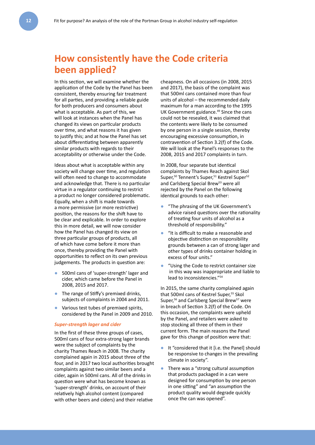### **How consistently have the Code criteria been applied?**

In this section, we will examine whether the application of the Code by the Panel has been consistent, thereby ensuring fair treatment for all parties, and providing a reliable guide for both producers and consumers about what is acceptable. As part of this, we will look at instances when the Panel has changed its views on particular products over time, and what reasons it has given to justify this; and at how the Panel has set about differentiating between apparently similar products with regards to their acceptability or otherwise under the Code.

Ideas about what is acceptable within any society will change over time, and regulation will often need to change to accommodate and acknowledge that. There is no particular virtue in a regulator continuing to restrict a product no longer considered problematic. Equally, when a shift is made towards a more permissive (or more restrictive) position, the reasons for the shift have to be clear and explicable. In order to explore this in more detail, we will now consider how the Panel has changed its view on three particular groups of products, all of which have come before it more than once, thereby providing the Panel with opportunities to reflect on its own previous judgements. The products in question are:

- 500ml cans of 'super-strength' lager and cider, which came before the Panel in 2008, 2015 and 2017.
- The range of Stiffy's premixed drinks, subjects of complaints in 2004 and 2011.
- Various test tubes of premixed spirits, considered by the Panel in 2009 and 2010.

#### *Super-strength lager and cider*

In the first of these three groups of cases, 500ml cans of four extra-strong lager brands were the subject of complaints by the charity Thames Reach in 2008. The charity complained again in 2015 about three of the four, and in 2017 two local authorities brought complaints against two similar beers and a cider, again in 500ml cans. All of the drinks in question were what has become known as 'super-strength' drinks, on account of their relatively high alcohol content (compared with other beers and ciders) and their relative

cheapness. On all occasions (in 2008, 2015 and 2017), the basis of the complaint was that 500ml cans contained more than four units of alcohol – the recommended daily maximum for a man according to the 1995 UK Government guidance.<sup>49</sup> Since the cans could not be resealed, it was claimed that the contents were likely to be consumed by one person in a single session, thereby encouraging excessive consumption, in contravention of Section 3.2(f) of the Code. We will look at the Panel's responses to the 2008, 2015 and 2017 complaints in turn.

In 2008, four separate but identical complaints by Thames Reach against Skol Super,<sup>50</sup> Tennent's Super,<sup>51</sup> Kestrel Super<sup>52</sup> and Carlsberg Special Brew<sup>53</sup> were all rejected by the Panel on the following identical grounds to each other:

- "The phrasing of the UK Government's advice raised questions over the rationality of treating four units of alcohol as a threshold of responsibility."
- "It is difficult to make a reasonable and objective distinction on responsibility grounds between a can of strong lager and other types of drinks container holding in excess of four units."
- "Using the Code to restrict container size in this way was inappropriate and liable to lead to inconsistencies."54

In 2015, the same charity complained again that 500ml cans of Kestrel Super,<sup>55</sup> Skol Super,<sup>56</sup> and Carlsberg Special Brew<sup>57</sup> were in breach of Section 3.2(f) of the Code. On this occasion, the complaints were upheld by the Panel, and retailers were asked to stop stocking all three of them in their current form. The main reasons the Panel gave for this change of position were that:

- It "considered that it [i.e. the Panel] should be responsive to changes in the prevailing climate in society".
- There was a "strong cultural assumption that products packaged in a can were designed for consumption by one person in one sitting" and "an assumption the product quality would degrade quickly once the can was opened".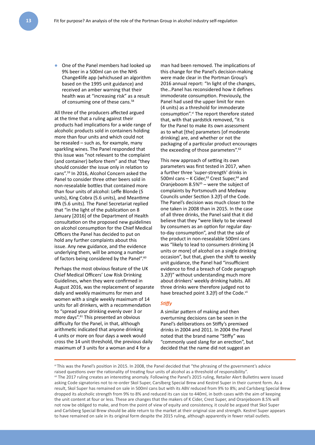● One of the Panel members had looked up 9% beer in a 500ml can on the NHS Change4life app (whichused an algorithm based on the 1995 unit guidance) and received an amber warning that their health was at "increasing risk" as a result of consuming one of these cans.<sup>58</sup>

All three of the producers affected argued at the time that a ruling against their products had implications for a wide range of alcoholic products sold in containers holding more than four units and which could not be resealed – such as, for example, many sparkling wines. The Panel responded that this issue was "not relevant to the complaint (and container) before them" and that "they should consider the issue only in relation to cans".59 In 2016, Alcohol Concern asked the Panel to consider three other beers sold in non-resealable bottles that contained more than four units of alcohol: Leffe Blonde (5 units), King Cobra (5.6 units), and Meantime IPA (5.6 units). The Panel Secretariat replied that "in the light of the publication on 8 January [2016] of the Department of Health consultation on the proposed new guidelines on alcohol consumption for the Chief Medical Officers the Panel has decided to put on hold any further complaints about this issue. Any new guidance, and the evidence underlying them, will be among a number of factors being considered by the Panel".<sup>60</sup>

Perhaps the most obvious feature of the UK Chief Medical Officers' Low Risk Drinking Guidelines, when they were confirmed in August 2016, was the replacement of separate daily and weekly maximums for men and women with a single weekly maximum of 14 units for all drinkers, with a recommendation to "spread your drinking evenly over 3 or more days".<sup>61</sup> This presented an obvious difficulty for the Panel, in that, although arithmetic indicated that anyone drinking 4 units or more on four days a week would cross the 14 unit threshold, the previous daily maximum of 3 units for a woman and 4 for a

man had been removed. The implications of this change for the Panel's decision-making were made clear in the Portman Group's 2016 annual report: "In light of the changes, the…Panel has reconsidered how it defines immoderate consumption. Previously, the Panel had used the upper limit for men (4 units) as a threshold for immoderate consumption".<sup>vi</sup> The report therefore stated that, with that yardstick removed, "it is for the Panel to make its own assessment as to what [the] parameters [of moderate drinking] are, and whether or not the packaging of a particular product encourages the exceeding of those parameters".<sup>62</sup>

This new approach of setting its own parameters was first tested in 2017, when a further three 'super-strength' drinks in 500ml cans  $-$  K Cider,<sup>63</sup> Crest Super,<sup>64</sup> and Oranjeboom  $8.5\%$ <sup>65</sup> – were the subject of complaints by Portsmouth and Medway Councils under Section 3.2(f) of the Code. The Panel's decision was much closer to the one taken in 2008 than in 2015. In the case of all three drinks, the Panel said that it did believe that they "were likely to be viewed by consumers as an option for regular dayto-day consumption", and that the sale of the product in non-resealable 500ml cans was "likely to lead to consumers drinking [4 units or more] of alcohol on a single drinking occasion", but that, given the shift to weekly unit guidance, the Panel had "insufficient evidence to find a breach of Code paragraph 3.2(f)" without understanding much more about drinkers' weekly drinking habits. All three drinks were therefore judged not to have breached point 3.2(f) of the Code.<sup>vii</sup>

#### *Stiffy*

A similar pattern of making and then overturning decisions can be seen in the Panel's deliberations on Stiffy's premixed drinks in 2004 and 2011. In 2004 the Panel noted that the brand name "Stiffy" was "commonly used slang for an erection", but decided that the name did not suggest an

vi This was the Panel's position in 2015. In 2008, the Panel decided that "the phrasing of the government's advice raised questions over the rationality of treating four units of alcohol as a threshold of responsibility".

vii The 2017 ruling creates an interesting anomaly. Following the Panel's 2015 ruling, Retailer Alert Bulletins were issued asking Code signatories not to re-order Skol Super, Carslberg Special Brew and Kestrel Super in their current form. As a result, Skol Super has remained on sale in 500ml cans but with its ABV reduced from 9% to 8%; and Carlsberg Special Brew dropped its alcoholic strength from 9% to 8% and reduced its can size to 440ml, in both cases with the aim of keeping the unit content at four or less. These are changes that the makers of K Cider, Crest Super, and Oranjeboom 8.5% will not now be obliged to make, and from the point of view of equity and consistency, it could be argued that Skol Super and Carlsberg Special Brew should be able return to the market at their original size and strength. Kestrel Super appears to have remained on sale in its original form despite the 2015 ruling, although apparently in fewer retail outlets.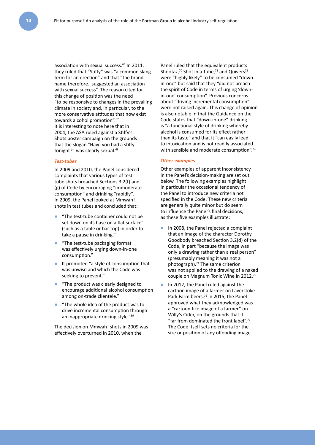association with sexual success.<sup>66</sup> In 2011, they ruled that "Stiffy" was "a common slang term for an erection" and that "the brand name therefore…suggested an association with sexual success". The reason cited for this change of position was the need "to be responsive to changes in the prevailing climate in society and, in particular, to the more conservative attitudes that now exist towards alcohol promotion".<sup>67</sup> It is interesting to note here that in 2004, the ASA ruled against a Stiffy's Shots poster campaign on the grounds that the slogan "Have you had a stiffy tonight?" was clearly sexual.<sup>68</sup>

#### *Test-tubes*

In 2009 and 2010, the Panel considered complaints that various types of test tube shots breached Sections 3.2(f) and (g) of Code by encouraging "immoderate consumption" and drinking "rapidly". In 2009, the Panel looked at Mmwah! shots in test tubes and concluded that:

- "The test-tube container could not be set down on its base on a flat surface" (such as a table or bar top) in order to take a pause in drinking."
- "The test-tube packaging format was effectively urging down-in-one consumption."
- It promoted "a style of consumption that was unwise and which the Code was seeking to prevent."
- "The product was clearly designed to encourage additional alcohol consumption among on-trade clientele."
- "The whole idea of the product was to drive incremental consumption through an inappropriate drinking style."69

The decision on Mmwah! shots in 2009 was effectively overturned in 2010, when the

Panel ruled that the equivalent products Shootaz, $70$  Shot in a Tube, $71$  and Quivers $72$ were "highly likely" to be consumed "downin-one" but said that they "did not breach the spirit of Code in terms of urging 'downin-one' consumption". Previous concerns about "driving incremental consumption" were not raised again. This change of opinion is also notable in that the Guidance on the Code states that "down-in-one" drinking is "a functional style of drinking whereby alcohol is consumed for its effect rather than its taste" and that it "can easily lead to intoxication and is not readily associated with sensible and moderate consumption".<sup>73</sup>

#### *Other examples*

Other examples of apparent inconsistency in the Panel's decision-making are set out below. The following examples highlight in particular the occasional tendency of the Panel to introduce new criteria not specified in the Code. These new criteria are generally quite minor but do seem to influence the Panel's final decisions, as these five examples illustrate:

- In 2008, the Panel rejected a complaint that an image of the character Dorothy Goodbody breached Section 3.2(d) of the Code, in part "because the image was only a drawing rather than a real person" (presumably meaning it was not a photograph).74 The same criterion was not applied to the drawing of a naked couple on Magnum Tonic Wine in 2012.75
- In 2012, the Panel ruled against the cartoon image of a farmer on Laverstoke Park Farm beers.<sup>76</sup> In 2015, the Panel approved what they acknowledged was a "cartoon-like image of a farmer" on Willy's Cider, on the grounds that it "far from dominated the front label".77 The Code itself sets no criteria for the size or position of any offending image.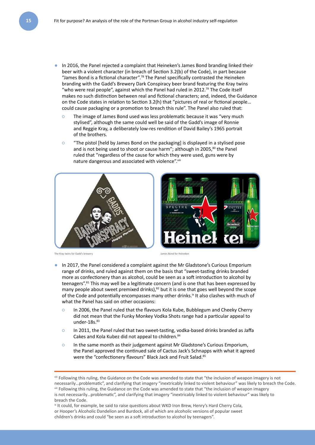- In 2016, the Panel rejected a complaint that Heineken's James Bond branding linked their beer with a violent character (in breach of Section 3.2(b) of the Code), in part because "James Bond is a fictional character".78 The Panel specifically contrasted the Heineken branding with the Gadd's Brewery Dark Conspiracy beer brand featuring the Kray twins "who were real people", against which the Panel had ruled in 2012.79 The Code itself makes no such distinction between real and fictional characters; and, indeed, the Guidance on the Code states in relation to Section 3.2(h) that "pictures of real or fictional people… could cause packaging or a promotion to breach this rule". The Panel also ruled that:
	- **○** The image of James Bond used was less problematic because it was "very much stylised", although the same could well be said of the Gadd's image of Ronnie and Reggie Kray, a deliberately low-res rendition of David Bailey's 1965 portrait of the brothers.
	- **○** "The pistol [held by James Bond on the packaging] is displayed in a stylised pose and is not being used to shoot or cause harm"; although in 2005,<sup>80</sup> the Panel ruled that "regardless of the cause for which they were used, guns were by nature dangerous and associated with violence".viii





- In 2017, the Panel considered a complaint against the Mr Gladstone's Curious Emporium range of drinks, and ruled against them on the basis that "sweet-tasting drinks branded more as confectionery than as alcohol, could be seen as a soft introduction to alcohol by teenagers".<sup>81</sup> This may well be a legitimate concern (and is one that has been expressed by many people about sweet premixed drinks),<sup>82</sup> but it is one that goes well beyond the scope of the Code and potentially encompasses many other drinks. $k$  It also clashes with much of what the Panel has said on other occasions:
	- **○** In 2006, the Panel ruled that the flavours Kola Kube, Bubblegum and Cheeky Cherry did not mean that the Funky Monkey Vodka Shots range had a particular appeal to under- $18s$ . $83$
	- **○** In 2011, the Panel ruled that two sweet-tasting, vodka-based drinks branded as Jaffa Cakes and Kola Kubez did not appeal to children.84
	- **○** In the same month as their judgement against Mr Gladstone's Curious Emporium, the Panel approved the continued sale of Cactus Jack's Schnapps with what it agreed were the "confectionery flavours" Black Jack and Fruit Salad.<sup>85</sup>

viii Following this ruling, the Guidance on the Code was amended to state that "the inclusion of weapon imagery is not necessarily…problematic", and clarifying that imagery "inextricably linked to violent behaviour" was likely to breach the Code.

viii Following this ruling, the Guidance on the Code was amended to state that "the inclusion of weapon imagery is not necessarily…problematic", and clarifying that imagery "inextricably linked to violent behaviour" was likely to breach the Code.

<sup>&</sup>lt;sup>ix</sup> It could, for example, be said to raise questions about WKD Iron Brew, Henry's Hard Cherry Cola, or Hooper's Alcoholic Dandelion and Burdock, all of which are alcoholic versions of popular sweet children's drinks and could "be seen as a soft introduction to alcohol by teenagers".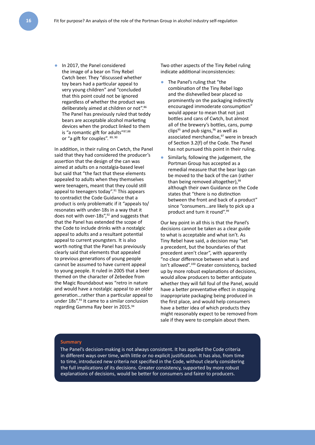● In 2017, the Panel considered the image of a bear on Tiny Rebel Cwtch beer. They "discussed whether toy bears had a particular appeal to very young children" and "concluded that this point could not be ignored regardless of whether the product was deliberately aimed at children or not".<sup>86</sup> The Panel has previously ruled that teddy bears are acceptable alcohol marketing devices when the product linked to them is "a romantic gift for adults"<sup>87,88</sup> or "a gift for couples". 89, 90

In addition, in their ruling on Cwtch, the Panel said that they had considered the producer's assertion that the design of the can was aimed at adults on a nostalgia-based level but said that "the fact that these elements appealed to adults when they themselves were teenagers, meant that they could still appeal to teenagers today".<sup>91</sup> This appears to contradict the Code Guidance that a product is only problematic if it "appeals to/ resonates with under-18s in a way that it does not with over-18s",<sup>92</sup> and suggests that that the Panel has extended the scope of the Code to include drinks with a nostalgic appeal to adults and a resultant potential appeal to current youngsters. It is also worth noting that the Panel has previously clearly said that elements that appealed to previous generations of young people cannot be assumed to have current appeal to young people. It ruled in 2005 that a beer themed on the character of Zebedee from the Magic Roundabout was "retro in nature and would have a nostalgic appeal to an older generation…rather than a particular appeal to under 18s".93 It came to a similar conclusion regarding Gamma Ray beer in 2015.<sup>94</sup>

Two other aspects of the Tiny Rebel ruling indicate additional inconsistencies:

- The Panel's ruling that "the combination of the Tiny Rebel logo and the dishevelled bear placed so prominently on the packaging indirectly encouraged immoderate consumption" would appear to mean that not just bottles and cans of Cwtch, but almost all of the brewery's bottles, cans, pump clips<sup>95</sup> and pub signs,  $96$  as well as associated merchandise,<sup>97</sup> were in breach of Section 3.2(f) of the Code. The Panel has not pursued this point in their ruling.
- Similarly, following the judgement, the Portman Group has accepted as a remedial measure that the bear logo can be moved to the back of the can (rather than being removed altogether),<sup>98</sup> although their own Guidance on the Code states that "there is no distinction between the front and back of a product" since "consumers…are likely to pick up a product and turn it round".99

Our key point in all this is that the Panel's decisions cannot be taken as a clear guide to what is acceptable and what isn't. As Tiny Rebel have said, a decision may "set a precedent, but the boundaries of that precedent aren't clear", with apparently "no clear difference between what is and isn't allowed".100 Greater consistency, backed up by more robust explanations of decisions, would allow producers to better anticipate whether they will fall foul of the Panel, would have a better preventative effect in stopping inappropriate packaging being produced in the first place, and would help consumers have a better idea of which products they might reasonably expect to be removed from sale if they were to complain about them.

#### **Summary**

The Panel's decision-making is not always consistent. It has applied the Code criteria in different ways over time, with little or no explicit justification. It has also, from time to time, introduced new criteria not specified in the Code, without clearly considering the full implications of its decisions. Greater consistency, supported by more robust explanations of decisions, would be better for consumers and fairer to producers.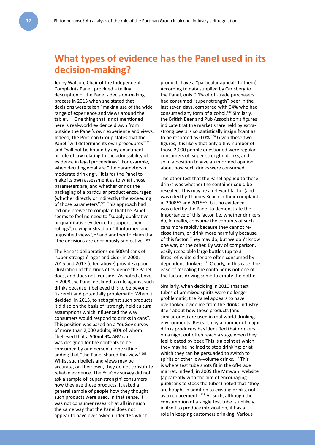### **What types of evidence has the Panel used in its decision-making?**

Jenny Watson, Chair of the Independent Complaints Panel, provided a telling description of the Panel's decision-making process in 2015 when she stated that decisions were taken "making use of the wide range of experience and views around the table".101 One thing that is not mentioned here is real-world evidence drawn from outside the Panel's own experience and views. Indeed, the Portman Group states that the Panel "will determine its own procedures"<sup>102</sup> and "will not be bound by any enactment or rule of law relating to the admissibility of evidence in legal proceedings". For example, when deciding what are "the parameters of moderate drinking", "it is for the Panel to make its own assessment as to what those parameters are, and whether or not the packaging of a particular product encourages (whether directly or indirectly) the exceeding of those parameters".<sup>103</sup> This approach had led one brewer to complain that the Panel seems to feel no need to "supply qualitative or quantitative evidence to support their rulings", relying instead on "ill-informed and unjustified views",104 and another to claim that "the decisions are enormously subjective".105

The Panel's deliberations on 500ml cans of 'super-strength' lager and cider in 2008, 2015 and 2017 (cited above) provide a good illustration of the kinds of evidence the Panel does, and does not, consider. As noted above, in 2008 the Panel declined to rule against such drinks because it believed this to be beyond its remit and potentially problematic. When it decided, in 2015, to act against such products it did so on the basis of "strongly held cultural assumptions which influenced the way consumers would respond to drinks in cans". This position was based on a YouGov survey of more than 2,000 adults, 80% of whom "believed that a 500ml 9% ABV can was designed for the contents to be consumed by one person in one sitting", adding that "the Panel shared this view".<sup>106</sup> Whilst such beliefs and views may be accurate, on their own, they do not constitute reliable evidence. The YouGov survey did not ask a sample of 'super-strength' consumers how they use these products, it asked a general sample of people how they thought such products were used. In that sense, it was not consumer research at all (in much the same way that the Panel does not appear to have ever asked under-18s which

products have a "particular appeal" to them). According to data supplied by Carlsberg to the Panel, only 0.1% of off-trade purchasers had consumed "super-strength" beer in the last seven days, compared with 64% who had consumed any form of alcohol.<sup>107</sup> Similarly, the British Beer and Pub Association's figures indicate that the market share held by extrastrong beers is so statistically insignificant as to be recorded as 0.0%.<sup>108</sup> Given these two figures, it is likely that only a tiny number of those 2,000 people questioned were regular consumers of 'super-strength' drinks, and so in a position to give an informed opinion about how such drinks were consumed.

The other test that the Panel applied to these drinks was whether the container could be resealed. This may be a relevant factor (and was cited by Thames Reach in their complaints in 2008 $109$  and 2015 $110$ ) but no evidence was cited by the Panel to demonstrate the importance of this factor, i.e. whether drinkers do, in reality, consume the contents of such cans more rapidly because they cannot reclose them, or drink more harmfully because of this factor. They may do, but we don't know one way or the other. By way of comparison, easily resealable large bottles (up to 3 litres) of white cider are often consumed by dependent drinkers.<sup>111</sup> Clearly, in this case, the ease of resealing the container is not one of the factors driving some to empty the bottle.

Similarly, when deciding in 2010 that test tubes of premixed spirits were no longer problematic, the Panel appears to have overlooked evidence from the drinks industry itself about how these products (and similar ones) are used in real-world drinking environments. Research by a number of major drinks producers has identified that drinkers on a night out often reach a stage when they feel bloated by beer. This is a point at which they may be inclined to stop drinking; or at which they can be persuaded to switch to spirits or other low-volume drinks.<sup>112</sup> This is where test tube shots fit in the off-trade market. Indeed, in 2009 the Mmwah! website (apparently with the aim of encouraging publicans to stock the tubes) noted that "they are bought in addition to existing drinks, not as a replacement".<sup>113</sup> As such, although the consumption of a single test tube is unlikely in itself to produce intoxication, it has a role in keeping customers drinking. Various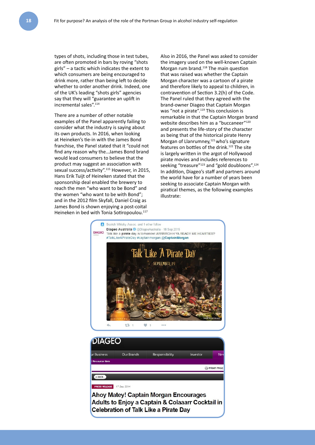types of shots, including those in test tubes, are often promoted in bars by roving "shots girls" – a tactic which indicates the extent to which consumers are being encouraged to drink more, rather than being left to decide whether to order another drink. Indeed, one of the UK's leading "shots girls" agencies say that they will "guarantee an uplift in incremental sales".114

There are a number of other notable examples of the Panel apparently failing to consider what the industry is saying about its own products. In 2016, when looking at Heineken's tie-in with the James Bond franchise, the Panel stated that it "could not find any reason why the…James Bond brand would lead consumers to believe that the product may suggest an association with sexual success/activity".115 However, in 2015, Hans Erik Tuijt of Heineken stated that the sponsorship deal enabled the brewery to reach the men "who want to be Bond" and the women "who want to be with Bond"; and in the 2012 film Skyfall, Daniel Craig as James Bond is shown enjoying a post-coital Heineken in bed with Tonia Sotiropoulou.<sup>117</sup>

Also in 2016, the Panel was asked to consider the imagery used on the well-known Captain Morgan rum brand.<sup>118</sup> The main question that was raised was whether the Captain Morgan character was a cartoon of a pirate and therefore likely to appeal to children, in contravention of Section 3.2(h) of the Code. The Panel ruled that they agreed with the brand-owner Diageo that Captain Morgan was "not a pirate".<sup>119</sup> This conclusion is remarkable in that the Captain Morgan brand website describes him as a "buccaneer"<sup>120</sup> and presents the life-story of the character as being that of the historical pirate Henry Morgan of Llanrumney,<sup>121</sup> who's signature features on bottles of the drink.122 The site is largely written in the argot of Hollywood pirate movies and includes references to seeking "treasure"<sup>123</sup> and "gold doubloons".<sup>124</sup> In addition, Diageo's staff and partners around the world have for a number of years been seeking to associate Captain Morgan with piratical themes, as the following examples illustrate:



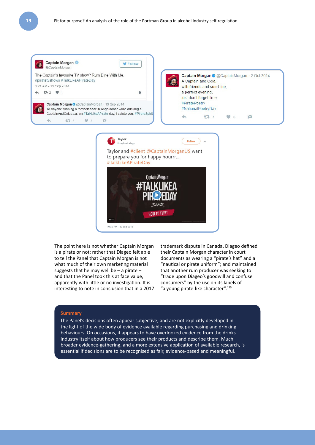

The point here is not whether Captain Morgan is a pirate or not; rather that Diageo felt able to tell the Panel that Captain Morgan is not what much of their own marketing material suggests that he may well be – a pirate – and that the Panel took this at face value, apparently with little or no investigation. It is interesting to note in conclusion that in a 2017 trademark dispute in Canada, Diageo defined their Captain Morgan character in court documents as wearing a "pirate's hat" and a "nautical or pirate uniform"; and maintained that another rum producer was seeking to "trade upon Diageo's goodwill and confuse consumers" by the use on its labels of "a young pirate-like character".125

#### **Summary**

The Panel's decisions often appear subjective, and are not explicitly developed in the light of the wide body of evidence available regarding purchasing and drinking behaviours. On occasions, it appears to have overlooked evidence from the drinks industry itself about how producers see their products and describe them. Much broader evidence-gathering, and a more extensive application of available research, is essential if decisions are to be recognised as fair, evidence-based and meaningful.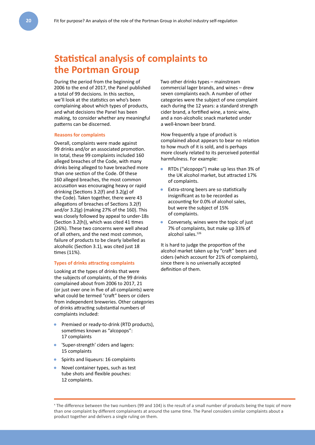### **Statistical analysis of complaints to the Portman Group**

During the period from the beginning of 2006 to the end of 2017, the Panel published a total of 99 decisions. In this section, we'll look at the statistics on who's been complaining about which types of products, and what decisions the Panel has been making, to consider whether any meaningful patterns can be discerned.

#### **Reasons for complaints**

Overall, complaints were made against 99 drinks and/or an associated promotion. In total, these 99 complaints included 160 alleged breaches of the Code, with many drinks being alleged to have breached more than one section of the Code. Of these 160 alleged breaches, the most common accusation was encouraging heavy or rapid drinking (Sections 3.2(f) and 3.2(g) of the Code). Taken together, there were 43 allegations of breaches of Sections 3.2(f) and/or 3.2(g) (making 27% of the 160). This was closely followed by appeal to under-18s (Section 3.2(h)), which was cited 41 times (26%). These two concerns were well ahead of all others, and the next most common, failure of products to be clearly labelled as alcoholic (Section 3.1), was cited just 18 times (11%).

#### **Types of drinks attracting complaints**

Looking at the types of drinks that were the subjects of complaints, of the 99 drinks complained about from 2006 to 2017, 21 (or just over one in five of all complaints) were what could be termed "craft" beers or ciders from independent breweries. Other categories of drinks attracting substantial numbers of complaints included:

- Premixed or ready-to-drink (RTD products), sometimes known as "alcopops": 17 complaints
- 'Super-strength' ciders and lagers: 15 complaints
- Spirits and liqueurs: 16 complaints
- Novel container types, such as test tube shots and flexible pouches: 12 complaints.

Two other drinks types – mainstream commercial lager brands, and wines – drew seven complaints each. A number of other categories were the subject of one complaint each during the 12 years: a standard strength cider brand, a fortified wine, a tonic wine, and a non-alcoholic snack marketed under a well-known beer brand.

How frequently a type of product is complained about appears to bear no relation to how much of it is sold, and is perhaps more closely related to its perceived potential harmfulness. For example:

- RTDs ("alcopops") make up less than 3% of the UK alcohol market, but attracted 17% of complaints.
- Extra-strong beers are so statistically insignificant as to be recorded as accounting for 0.0% of alcohol sales, but were the subject of 15% of complaints.
- Conversely, wines were the topic of just 7% of complaints, but make up 33% of alcohol sales.<sup>126</sup>

It is hard to judge the proportion of the alcohol market taken up by "craft" beers and ciders (which account for 21% of complaints), since there is no universally accepted definition of them.

x The difference between the two numbers (99 and 104) is the result of a small number of products being the topic of more than one complaint by different complainants at around the same time. The Panel considers similar complaints about a product together and delivers a single ruling on them.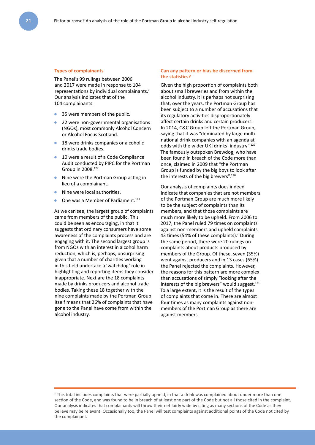#### **Types of complainants**

The Panel's 99 rulings between 2006 and 2017 were made in response to 104 representations by individual complainants.<sup>x</sup> Our analysis indicates that of the 104 complainants:

- 35 were members of the public.
- 22 were non-governmental organisations (NGOs), most commonly Alcohol Concern or Alcohol Focus Scotland.
- 18 were drinks companies or alcoholic drinks trade bodies.
- 10 were a result of a Code Compliance Audit conducted by PIPC for the Portman Group in 2008.127
- Nine were the Portman Group acting in lieu of a complainant.
- Nine were local authorities.
- One was a Member of Parliament.<sup>128</sup>

As we can see, the largest group of complaints came from members of the public. This could be seen as encouraging, in that it suggests that ordinary consumers have some awareness of the complaints process and are engaging with it. The second largest group is from NGOs with an interest in alcohol harm reduction, which is, perhaps, unsurprising given that a number of charities working in this field undertake a 'watchdog' role in highlighting and reporting items they consider inappropriate. Next are the 18 complaints made by drinks producers and alcohol trade bodies. Taking these 18 together with the nine complaints made by the Portman Group itself means that 26% of complaints that have gone to the Panel have come from within the alcohol industry.

#### **Can any pattern or bias be discerned from the statistics?**

Given the high proportion of complaints both about small breweries and from within the alcohol industry, it is perhaps not surprising that, over the years, the Portman Group has been subject to a number of accusations that its regulatory activities disproportionately affect certain drinks and certain producers. In 2014, C&C Group left the Portman Group, saying that it was "dominated by large multinational drink companies with an agenda at odds with the wider UK [drinks] industry".<sup>129</sup> The famously outspoken Brewdog, who have been found in breach of the Code more than once, claimed in 2009 that "the Portman Group is funded by the big boys to look after the interests of the big brewers".<sup>130</sup>

Our analysis of complaints does indeed indicate that companies that are not members of the Portman Group are much more likely to be the subject of complaints than its members, and that those complaints are much more likely to be upheld. From 2006 to 2017, the Panel ruled 79 times on complaints against non-members and upheld complaints 43 times (54% of these complaints).<sup>xi</sup> During the same period, there were 20 rulings on complaints about products produced by members of the Group. Of these, seven (35%) went against producers and in 13 cases (65%) the Panel rejected the complaints. However, the reasons for this pattern are more complex than accusations of simply "looking after the interests of the big brewers" would suggest.<sup>131</sup> To a large extent, it is the result of the types of complaints that come in. There are almost four times as many complaints against nonmembers of the Portman Group as there are against members.

xi This total includes complaints that were partially upheld, in that a drink was complained about under more than one section of the Code, and was found to be in breach of at least one part of the Code but not all those cited in the complaint. Our analysis indicates that complainants will throw their net fairly wide by citing as many sections of the Code as they believe may be relevant. Occasionally too, the Panel will test complaints against additional points of the Code not cited by the complainant.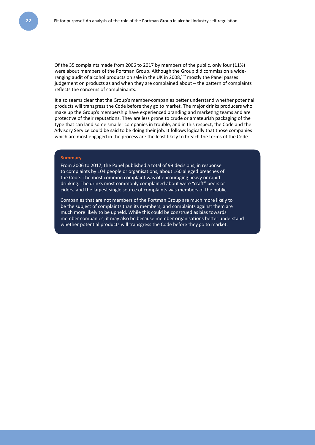Of the 35 complaints made from 2006 to 2017 by members of the public, only four (11%) were about members of the Portman Group. Although the Group did commission a wideranging audit of alcohol products on sale in the UK in 2008,<sup>132</sup> mostly the Panel passes judgement on products as and when they are complained about – the pattern of complaints reflects the concerns of complainants.

It also seems clear that the Group's member-companies better understand whether potential products will transgress the Code before they go to market. The major drinks producers who make up the Group's membership have experienced branding and marketing teams and are protective of their reputations. They are less prone to crude or amateurish packaging of the type that can land some smaller companies in trouble, and in this respect, the Code and the Advisory Service could be said to be doing their job. It follows logically that those companies which are most engaged in the process are the least likely to breach the terms of the Code.

#### **Summary**

From 2006 to 2017, the Panel published a total of 99 decisions, in response to complaints by 104 people or organisations, about 160 alleged breaches of the Code. The most common complaint was of encouraging heavy or rapid drinking. The drinks most commonly complained about were "craft" beers or ciders, and the largest single source of complaints was members of the public.

Companies that are not members of the Portman Group are much more likely to be the subject of complaints than its members, and complaints against them are much more likely to be upheld. While this could be construed as bias towards member companies, it may also be because member organisations better understand whether potential products will transgress the Code before they go to market.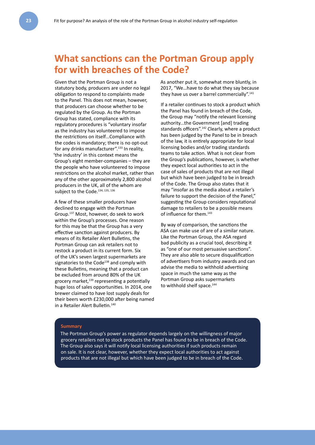### **What sanctions can the Portman Group apply for with breaches of the Code?**

Given that the Portman Group is not a statutory body, producers are under no legal obligation to respond to complaints made to the Panel. This does not mean, however, that producers can choose whether to be regulated by the Group. As the Portman Group has stated, compliance with its regulatory procedures is "voluntary insofar as the industry has volunteered to impose the restrictions on itself…Compliance with the codes is mandatory; there is no opt-out for any drinks manufacturer".<sup>133</sup> In reality, 'the industry' in this context means the Group's eight member-companies – they are the people who have volunteered to impose restrictions on the alcohol market, rather than any of the other approximately 2,800 alcohol producers in the UK, all of the whom are subject to the Code.<sup>134, 135, 136</sup>

A few of these smaller producers have declined to engage with the Portman Group.137 Most, however, do seek to work within the Group's processes. One reason for this may be that the Group has a very effective sanction against producers. By means of its Retailer Alert Bulletins, the Portman Group can ask retailers not to restock a product in its current form. Six of the UK's seven largest supermarkets are signatories to the Code<sup>138</sup> and comply with these Bulletins, meaning that a product can be excluded from around 80% of the UK grocery market, $139$  representing a potentially huge loss of sales opportunities. In 2014, one brewer claimed to have lost supply deals for their beers worth £230,000 after being named in a Retailer Alert Bulletin.140

As another put it, somewhat more bluntly, in 2017, "We…have to do what they say because they have us over a barrel commercially".<sup>141</sup>

If a retailer continues to stock a product which the Panel has found in breach of the Code, the Group may "notify the relevant licensing authority...the Government [and] trading standards officers".<sup>142</sup> Clearly, where a product has been judged by the Panel to be in breach of the law, it is entirely appropriate for local licensing bodies and/or trading standards teams to take action. What is not clear from the Group's publications, however, is whether they expect local authorities to act in the case of sales of products that are not illegal but which have been judged to be in breach of the Code. The Group also states that it may "insofar as the media about a retailer's failure to support the decision of the Panel." suggesting the Group considers reputational damage to retailers to be a possible means of influence for them.<sup>143</sup>

By way of comparison, the sanctions the ASA can make use of are of a similar nature. Like the Portman Group, the ASA regard bad publicity as a crucial tool, describing it as "one of our most persuasive sanctions". They are also able to secure disqualification of advertisers from industry awards and can advise the media to withhold advertising space in much the same way as the Portman Group asks supermarkets to withhold shelf space.<sup>144</sup>

#### **Summary**

The Portman Group's power as regulator depends largely on the willingness of major grocery retailers not to stock products the Panel has found to be in breach of the Code. The Group also says it will notify local licensing authorities if such products remain on sale. It is not clear, however, whether they expect local authorities to act against products that are not illegal but which have been judged to be in breach of the Code.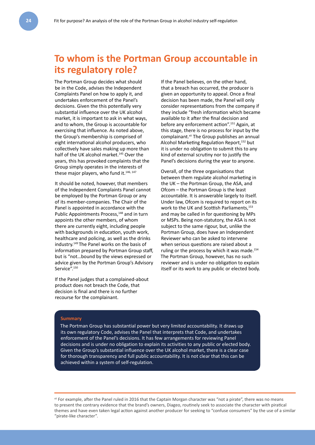### **To whom is the Portman Group accountable in its regulatory role?**

The Portman Group decides what should be in the Code, advises the Independent Complaints Panel on how to apply it, and undertakes enforcement of the Panel's decisions. Given the this potentially very substantial influence over the UK alcohol market, it is important to ask in what ways, and to whom, the Group is accountable for exercising that influence. As noted above, the Group's membership is comprised of eight international alcohol producers, who collectively have sales making up more than half of the UK alcohol market.<sup>145</sup> Over the years, this has provoked complaints that the Group simply operates in the interests of these major players, who fund it.<sup>146, 147</sup>

It should be noted, however, that members of the Independent Complaints Panel cannot be employed by the Portman Group or any of its member-companies. The Chair of the Panel is appointed in accordance with the Public Appointments Process,<sup>148</sup> and in turn appoints the other members, of whom there are currently eight, including people with backgrounds in education, youth work, healthcare and policing, as well as the drinks industry.149 The Panel works on the basis of information prepared by Portman Group staff, but is "not…bound by the views expressed or advice given by the Portman Group's Advisory Service".<sup>150</sup>

If the Panel judges that a complained-about product does not breach the Code, that decision is final and there is no further recourse for the complainant.

If the Panel believes, on the other hand, that a breach has occurred, the producer is given an opportunity to appeal. Once a final decision has been made, the Panel will only consider representations from the company if they include "fresh information which became available to it after the final decision and before any enforcement action".151 Again, at this stage, there is no process for input by the complainant.<sup>xii</sup> The Group publishes an annual Alcohol Marketing Regulation Report,152 but it is under no obligation to submit this to any kind of external scrutiny nor to justify the Panel's decisions during the year to anyone.

Overall, of the three organisations that between them regulate alcohol marketing in the UK – the Portman Group, the ASA, and Ofcom – the Portman Group is the least accountable. It is answerable largely to itself. Under law, Ofcom is required to report on its work to the UK and Scottish Parliaments,<sup>153</sup> and may be called in for questioning by MPs or MSPs. Being non-statutory, the ASA is not subject to the same rigour, but, unlike the Portman Group, does have an Independent Reviewer who can be asked to intervene when serious questions are raised about a ruling or the process by which it was made.<sup>154</sup> The Portman Group, however, has no such reviewer and is under no obligation to explain itself or its work to any public or elected body.

#### **Summary**

The Portman Group has substantial power but very limited accountability. It draws up its own regulatory Code, advises the Panel that interprets that Code, and undertakes enforcement of the Panel's decisions. It has few arrangements for reviewing Panel decisions and is under no obligation to explain its activities to any public or elected body. Given the Group's substantial influence over the UK alcohol market, there is a clear case for thorough transparency and full public accountability. It is not clear that this can be achieved within a system of self-regulation.

xii For example, after the Panel ruled in 2016 that the Captain Morgan character was "not a pirate", there was no means to present the contrary evidence that the brand's owners, Diageo, routinely seek to associate the character with piratical themes and have even taken legal action against another producer for seeking to "confuse consumers" by the use of a similar "pirate-like character".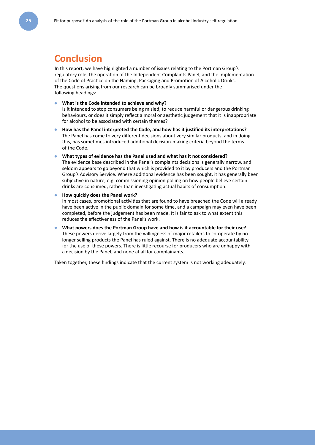### **Conclusion**

In this report, we have highlighted a number of issues relating to the Portman Group's regulatory role, the operation of the Independent Complaints Panel, and the implementation of the Code of Practice on the Naming, Packaging and Promotion of Alcoholic Drinks. The questions arising from our research can be broadly summarised under the following headings:

What is the Code intended to achieve and why? Is it intended to stop consumers being misled, to reduce harmful or dangerous drinking behaviours, or does it simply reflect a moral or aesthetic judgement that it is inappropriate for alcohol to be associated with certain themes?

- **How has the Panel interpreted the Code, and how has it justified its interpretations?** The Panel has come to very different decisions about very similar products, and in doing this, has sometimes introduced additional decision-making criteria beyond the terms of the Code.
- What types of evidence has the Panel used and what has it not considered? The evidence base described in the Panel's complaints decisions is generally narrow, and seldom appears to go beyond that which is provided to it by producers and the Portman Group's Advisory Service. Where additional evidence has been sought, it has generally been subjective in nature, e.g. commissioning opinion polling on how people believe certain drinks are consumed, rather than investigating actual habits of consumption.
- **How quickly does the Panel work?**

In most cases, promotional activities that are found to have breached the Code will already have been active in the public domain for some time, and a campaign may even have been completed, before the judgement has been made. It is fair to ask to what extent this reduces the effectiveness of the Panel's work.

What powers does the Portman Group have and how is it accountable for their use? These powers derive largely from the willingness of major retailers to co-operate by no longer selling products the Panel has ruled against. There is no adequate accountability for the use of these powers. There is little recourse for producers who are unhappy with a decision by the Panel, and none at all for complainants.

Taken together, these findings indicate that the current system is not working adequately.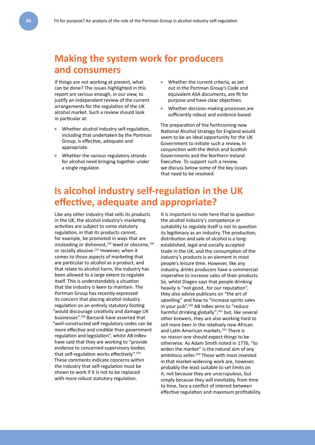### **Making the system work for producers and consumers**

If things are not working at present, what can be done? The issues highlighted in this report are serious enough, in our view, to justify an independent review of the current arrangements for the regulation of the UK alcohol market. Such a review should look in particular at:

- Whether alcohol industry self-regulation, including that undertaken by the Portman Group, is effective, adequate and appropriate.
- Whether the various regulatory strands for alcohol need bringing together under a single regulator.
- Whether the current criteria, as set out in the Portman Group's Code and equivalent ASA documents, are fit for purpose and have clear objectives.
- Whether decision-making processes are sufficiently robust and evidence-based.

The preparation of the forthcoming new National Alcohol Strategy for England would seem to be an ideal opportunity for the UK Government to initiate such a review, in conjunction with the Welsh and Scottish Governments and the Northern Ireland Executive. To support such a review, we discuss below some of the key issues that need to be resolved.

### **Is alcohol industry self-regulation in the UK effective, adequate and appropriate?**

Like any other industry that sells its products in the UK, the alcohol industry's marketing activities are subject to some statutory regulation, in that its products cannot, for example, be promoted in ways that are misleading or dishonest, $155$  lewd or obscene, $156$ or racially abusive.157 However, when it comes to those aspects of marketing that are particular to alcohol as a product, and that relate to alcohol harm, the industry has been allowed to a large extent to regulate itself. This is understandably a situation that the industry is keen to maintain. The Portman Group has recently expressed its concern that placing alcohol industry regulation on an entirely statutory footing "would discourage creativity and damage UK businesses".158 Barcardi have asserted that "well-constructed self-regulatory codes can be more effective and credible than government regulation and legislation", whilst AB InBev have said that they are working to "provide evidence to concerned supervisory bodies that self-regulation works effectively".159 These comments indicate concerns within the industry that self-regulation must be shown to work if it is not to be replaced with more robust statutory regulation.

It is important to note here that to question the alcohol industry's competence or suitability to regulate itself is not to question its legitimacy as an industry. The production, distribution and sale of alcohol is a longestablished, legal and socially accepted trade in the UK, and the consumption of the industry's products is an element in most people's leisure time. However, like any industry, drinks producers have a commercial imperative to increase sales of their products. So, whilst Diageo says that people drinking heavily is "not good…for our reputation", they also advise publicans on "the art of upselling" and how to "increase spirits sales in your pub".<sup>160</sup> AB InBev aims to "reduce harmful drinking globally";<sup>161</sup> but, like several other brewers, they are also working hard to sell more beer in the relatively new African and Latin American markets.<sup>162</sup> There is no reason one should expect things to be otherwise. As Adam Smith noted in 1776, "to widen the market" is the natural aim of any ambitious seller.<sup>163</sup> Those with most invested in that market-widening work are, however, probably the least suitable to set limits on it; not because they are unscrupulous, but simply because they will inevitably, from time to time, face a conflict of interest between effective regulation and maximum profitability.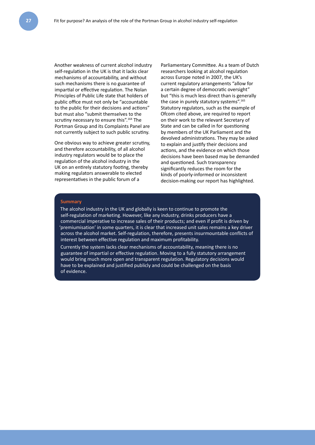Another weakness of current alcohol industry self-regulation in the UK is that it lacks clear mechanisms of accountability, and without such mechanisms there is no guarantee of impartial or effective regulation. The Nolan Principles of Public Life state that holders of public office must not only be "accountable to the public for their decisions and actions" but must also "submit themselves to the scrutiny necessary to ensure this".<sup>164</sup> The Portman Group and its Complaints Panel are not currently subject to such public scrutiny.

One obvious way to achieve greater scrutiny, and therefore accountability, of all alcohol industry regulators would be to place the regulation of the alcohol industry in the UK on an entirely statutory footing, thereby making regulators answerable to elected representatives in the public forum of a

Parliamentary Committee. As a team of Dutch researchers looking at alcohol regulation across Europe noted in 2007, the UK's current regulatory arrangements "allow for a certain degree of democratic oversight" but "this is much less direct than is generally the case in purely statutory systems".<sup>165</sup> Statutory regulators, such as the example of Ofcom cited above, are required to report on their work to the relevant Secretary of State and can be called in for questioning by members of the UK Parliament and the devolved administrations. They may be asked to explain and justify their decisions and actions, and the evidence on which those decisions have been based may be demanded and questioned. Such transparency significantly reduces the room for the kinds of poorly-informed or inconsistent decision-making our report has highlighted.

#### **Summary**

The alcohol industry in the UK and globally is keen to continue to promote the self-regulation of marketing. However, like any industry, drinks producers have a commercial imperative to increase sales of their products; and even if profit is driven by 'premiumisation' in some quarters, it is clear that increased unit sales remains a key driver across the alcohol market. Self-regulation, therefore, presents insurmountable conflicts of interest between effective regulation and maximum profitability.

Currently the system lacks clear mechanisms of accountability, meaning there is no guarantee of impartial or effective regulation. Moving to a fully statutory arrangement would bring much more open and transparent regulation. Regulatory decisions would have to be explained and justified publicly and could be challenged on the basis of evidence.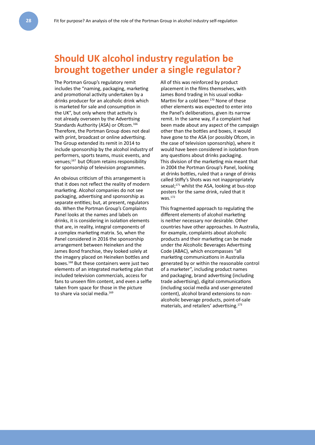### **Should UK alcohol industry regulation be brought together under a single regulator?**

The Portman Group's regulatory remit includes the "naming, packaging, marketing and promotional activity undertaken by a drinks producer for an alcoholic drink which is marketed for sale and consumption in the UK", but only where that activity is not already overseen by the Advertising Standards Authority (ASA) or Ofcom.<sup>166</sup> Therefore, the Portman Group does not deal with print, broadcast or online advertising. The Group extended its remit in 2014 to include sponsorship by the alcohol industry of performers, sports teams, music events, and venues;<sup>167</sup> but Ofcom retains responsibility for sponsorship of television programmes.

An obvious criticism of this arrangement is that it does not reflect the reality of modern marketing. Alcohol companies do not see packaging, advertising and sponsorship as separate entities; but, at present, regulators do. When the Portman Group's Complaints Panel looks at the names and labels on drinks, it is considering in isolation elements that are, in reality, integral components of a complex marketing matrix. So, when the Panel considered in 2016 the sponsorship arrangement between Heineken and the James Bond franchise, they looked solely at the imagery placed on Heineken bottles and boxes.168 But these containers were just two elements of an integrated marketing plan that included television commercials, access for fans to unseen film content, and even a selfie taken from space for those in the picture to share via social media.<sup>169</sup>

All of this was reinforced by product placement in the films themselves, with James Bond trading in his usual vodka-Martini for a cold beer.<sup>170</sup> None of these other elements was expected to enter into the Panel's deliberations, given its narrow remit. In the same way, if a complaint had been made about any aspect of the campaign other than the bottles and boxes, it would have gone to the ASA (or possibly Ofcom, in the case of television sponsorship), where it would have been considered in isolation from any questions about drinks packaging. This division of the marketing mix meant that in 2004 the Portman Group's Panel, looking at drinks bottles, ruled that a range of drinks called Stiffy's Shots was not inappropriately sexual;<sup>171</sup> whilst the ASA, looking at bus-stop posters for the same drink, ruled that it was.172

This fragmented approach to regulating the different elements of alcohol marketing is neither necessary nor desirable. Other countries have other approaches. In Australia, for example, complaints about alcoholic products and their marketing can be made under the Alcoholic Beverages Advertising Code (ABAC), which encompasses "all marketing communications in Australia generated by or within the reasonable control of a marketer", including product names and packaging, brand advertising (including trade advertising), digital communications (including social media and user-generated content), alcohol brand extensions to nonalcoholic beverage products, point-of-sale materials, and retailers' advertising.173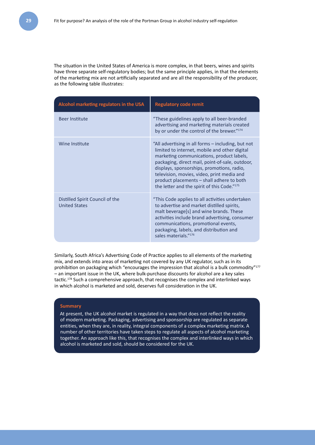The situation in the United States of America is more complex, in that beers, wines and spirits have three separate self-regulatory bodies; but the same principle applies, in that the elements of the marketing mix are not artificially separated and are all the responsibility of the producer, as the following table illustrates:

| Alcohol marketing regulators in the USA                 | <b>Regulatory code remit</b>                                                                                                                                                                                                                                                                                                                                                                |
|---------------------------------------------------------|---------------------------------------------------------------------------------------------------------------------------------------------------------------------------------------------------------------------------------------------------------------------------------------------------------------------------------------------------------------------------------------------|
| Beer Institute                                          | "These guidelines apply to all beer-branded<br>advertising and marketing materials created<br>by or under the control of the brewer."174                                                                                                                                                                                                                                                    |
| Wine Institute                                          | "All advertising in all forms – including, but not<br>limited to internet, mobile and other digital<br>marketing communications, product labels,<br>packaging, direct mail, point-of-sale, outdoor,<br>displays, sponsorships, promotions, radio,<br>television, movies, video, print media and<br>product placements - shall adhere to both<br>the letter and the spirit of this Code."175 |
| Distilled Spirit Council of the<br><b>United States</b> | "This Code applies to all activities undertaken<br>to advertise and market distilled spirits,<br>malt beverage[s] and wine brands. These<br>activities include brand advertising, consumer<br>communications, promotional events,<br>packaging, labels, and distribution and<br>sales materials."176                                                                                        |

Similarly, South Africa's Advertising Code of Practice applies to all elements of the marketing mix, and extends into areas of marketing not covered by any UK regulator, such as in its prohibition on packaging which "encourages the impression that alcohol is a bulk commodity"<sup>177</sup> – an important issue in the UK, where bulk-purchase discounts for alcohol are a key sales tactic.<sup>178</sup> Such a comprehensive approach, that recognises the complex and interlinked ways in which alcohol is marketed and sold, deserves full consideration in the UK.

#### **Summary**

At present, the UK alcohol market is regulated in a way that does not reflect the reality of modern marketing. Packaging, advertising and sponsorship are regulated as separate entities, when they are, in reality, integral components of a complex marketing matrix. A number of other territories have taken steps to regulate all aspects of alcohol marketing together. An approach like this, that recognises the complex and interlinked ways in which alcohol is marketed and sold, should be considered for the UK.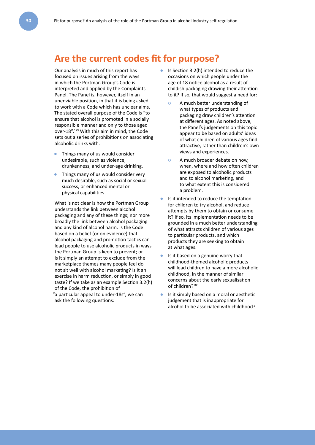### **Are the current codes fit for purpose?**

Our analysis in much of this report has focused on issues arising from the ways in which the Portman Group's Code is interpreted and applied by the Complaints Panel. The Panel is, however, itself in an unenviable position, in that it is being asked to work with a Code which has unclear aims. The stated overall purpose of the Code is "to ensure that alcohol is promoted in a socially responsible manner and only to those aged over-18".179 With this aim in mind, the Code sets out a series of prohibitions on associating alcoholic drinks with:

- Things many of us would consider undesirable, such as violence, drunkenness, and under-age drinking.
- Things many of us would consider very much desirable, such as social or sexual success, or enhanced mental or physical capabilities.

What is not clear is how the Portman Group understands the link between alcohol packaging and any of these things; nor more broadly the link between alcohol packaging and any kind of alcohol harm. Is the Code based on a belief (or on evidence) that alcohol packaging and promotion tactics can lead people to use alcoholic products in ways the Portman Group is keen to prevent; or is it simply an attempt to exclude from the marketplace themes many people feel do not sit well with alcohol marketing? Is it an exercise in harm reduction, or simply in good taste? If we take as an example Section 3.2(h) of the Code, the prohibition of "a particular appeal to under-18s", we can ask the following questions:

- Is Section 3.2(h) intended to reduce the occasions on which people under the age of 18 notice alcohol as a result of childish packaging drawing their attention to it? If so, that would suggest a need for:
	- **○** A much better understanding of what types of products and packaging draw children's attention at different ages. As noted above, the Panel's judgements on this topic appear to be based on adults' ideas of what children of various ages find attractive, rather than children's own views and experiences.
	- **○** A much broader debate on how, when, where and how often children are exposed to alcoholic products and to alcohol marketing, and to what extent this is considered a problem.
- Is it intended to reduce the temptation for children to try alcohol, and reduce attempts by them to obtain or consume it? If so, its implementation needs to be grounded in a much better understanding of what attracts children of various ages to particular products, and which products they are seeking to obtain at what ages.
- Is it based on a genuine worry that childhood-themed alcoholic products will lead children to have a more alcoholic childhood, in the manner of similar concerns about the early sexualisation of children?<sup>180</sup>
- Is it simply based on a moral or aesthetic judgement that is inappropriate for alcohol to be associated with childhood?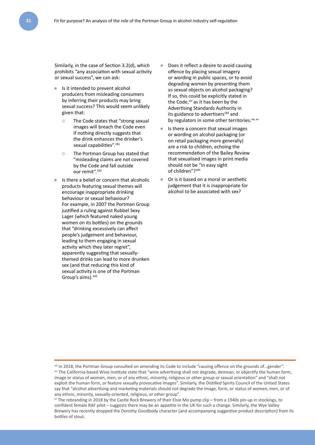Similarly, in the case of Section 3.2(d), which prohibits "any association with sexual activity or sexual success", we can ask:

- Is it intended to prevent alcohol producers from misleading consumers by inferring their products may bring sexual success? This would seem unlikely given that:
	- **○** The Code states that "strong sexual images will breach the Code even if nothing directly suggests that the drink enhances the drinker's sexual capabilities".<sup>181</sup>
	- **○** The Portman Group has stated that "misleading claims are not covered by the Code and fall outside our remit".<sup>182</sup>
- Is there a belief or concern that alcoholic products featuring sexual themes will encourage inappropriate drinking behaviour or sexual behaviour? For example, in 2007 the Portman Group justified a ruling against Rubbel Sexy Lager (which featured naked young women on its bottles) on the grounds that "drinking excessively can affect people's judgement and behaviour, leading to them engaging in sexual activity which they later regret", apparently suggesting that sexuallythemed drinks can lead to more drunken sex (and that reducing this kind of sexual activity is one of the Portman Group's aims).<sup>183</sup>
- Does it reflect a desire to avoid causing offence by placing sexual imagery or wording in public spaces, or to avoid degrading women by presenting them as sexual objects on alcohol packaging? If so, this could be explicitly stated in the Code,<sup>xiii</sup> as it has been by the Advertising Standards Authority in its guidance to advertisers<sup>184</sup> and by regulators in some other territories. xiv, xv
- Is there a concern that sexual images or wording on alcohol packaging (or on retail packaging more generally) are a risk to children, echoing the recommendation of the Bailey Review that sexualised images in print media should not be "in easy sight of children"?185
- Or is it based on a moral or aesthetic judgement that it is inappropriate for alcohol to be associated with sex?

xiii In 2018, the Portman Group consulted on amending its Code to include "causing offence on the grounds of…gender". xiv The California-based Wine Institute state that "wine advertising shall not degrade, demean, or objectify the human form, image or status of women, men, or of any ethnic, minority, religious or other group or sexual orientation" and "shall not exploit the human form, or feature sexually provocative images". Similarly, the Distilled Spirits Council of the United States say that "alcohol advertising and marketing materials should not degrade the image, form, or status of women, men, or of any ethnic, minority, sexually-oriented, religious, or other group".

xv The rebranding in 2018 by the Castle Rock Brewery of their Elsie Mo pump clip – from a 1940s pin-up in stockings, to confident female RAF pilot – suggests there may be an appetite in the UK for such a change. Similarly, the Wye Valley Brewery has recently dropped the Dorothy Goodbody character (and accompanying suggestive product description) from its bottles of stout.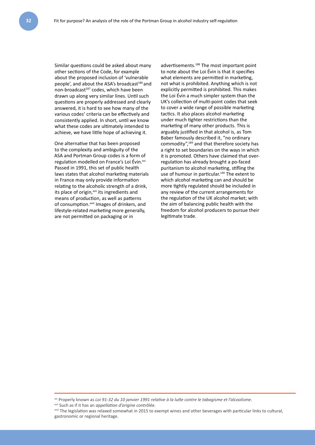Similar questions could be asked about many other sections of the Code, for example about the proposed inclusion of 'vulnerable people', and about the ASA's broadcast<sup>186</sup> and non-broadcast<sup>187</sup> codes, which have been drawn up along very similar lines. Until such questions are properly addressed and clearly answered, it is hard to see how many of the various codes' criteria can be effectively and consistently applied. In short, until we know what these codes are ultimately intended to achieve, we have little hope of achieving it.

One alternative that has been proposed to the complexity and ambiguity of the ASA and Portman Group codes is a form of regulation modelled on France's Loi Évin.<sup>xvi</sup> Passed in 1991, this set of public health laws states that alcohol marketing materials in France may only provide information relating to the alcoholic strength of a drink, its place of origin,<sup>xvii</sup> its ingredients and means of production, as well as patterns of consumption.<sup>xviii</sup> Images of drinkers, and lifestyle-related marketing more generally, are not permitted on packaging or in

advertisements.188 The most important point to note about the Loi Évin is that it specifies what elements are permitted in marketing, not what is prohibited. Anything which is not explicitly permitted is prohibited. This makes the Loi Évin a much simpler system than the UK's collection of multi-point codes that seek to cover a wide range of possible marketing tactics. It also places alcohol marketing under much tighter restrictions than the marketing of many other products. This is arguably justified in that alcohol is, as Tom Baber famously described it, "no ordinary commodity",189 and that therefore society has a right to set boundaries on the ways in which it is promoted. Others have claimed that overregulation has already brought a po-faced puritanism to alcohol marketing, stifling the use of humour in particular.<sup>190</sup> The extent to which alcohol marketing can and should be more tightly regulated should be included in any review of the current arrangements for the regulation of the UK alcohol market; with the aim of balancing public health with the freedom for alcohol producers to pursue their legitimate trade.

xvi Properly known as *Loi 91-32 du 10 janvier 1991 relative à la lutte contre le tabagisme et l'alcoolisme.*

xvii Such as if it has an *appellation d'origine contrôlée.*

xviii The legislation was relaxed somewhat in 2015 to exempt wines and other beverages with particular links to cultural, gastronomic or regional heritage.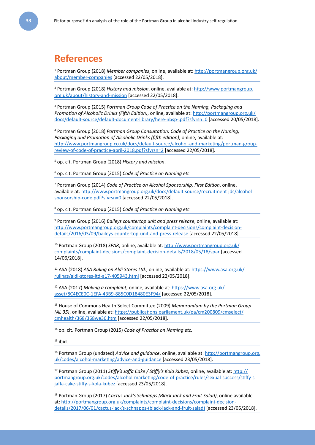### **References**

1 Portman Group (2018) *Member companies*, online, available at: [http://portmangroup.org.uk/](http://portmangroup.org.uk/about/member-companies) [about/member-companies](http://portmangroup.org.uk/about/member-companies) [accessed 22/05/2018].

2 Portman Group (2018) *History and mission*, online, available at: [http://www.portmangroup.](http://www.portmangroup.org.uk/about/history-and-mission) [org.uk/about/history-and-mission](http://www.portmangroup.org.uk/about/history-and-mission) [accessed 22/05/2018].

3 Portman Group (2015) *Portman Group Code of Practice on the Naming, Packaging and Promotion of Alcoholic Drinks (Fifth Edition)*, online, available at: [http://portmangroup.org.uk/](http://portmangroup.org.uk/docs/default-source/default-document-library/here-nbsp-.pdf?sfvrsn=0) [docs/default-source/default-document-library/here-nbsp-.pdf?sfvrsn=0](http://portmangroup.org.uk/docs/default-source/default-document-library/here-nbsp-.pdf?sfvrsn=0) [accessed 20/05/2018].

4 Portman Group (2018) *Portman Group Consultation: Code of Practice on the Naming, Packaging and Promotion of Alcoholic Drinks (fifth edition)*, online, available at: [http://www.portmangroup.co.uk/docs/default-source/alcohol-and-marketing/portman-group](http://www.portmangroup.co.uk/docs/default-source/alcohol-and-marketing/portman-group-review-of-code-of-practice-april-2018.pdf?sfvrsn=2)[review-of-code-of-practice-april-2018.pdf?sfvrsn=2](http://www.portmangroup.co.uk/docs/default-source/alcohol-and-marketing/portman-group-review-of-code-of-practice-april-2018.pdf?sfvrsn=2) [accessed 22/05/2018].

5 op. cit. Portman Group (2018) *History and mission*.

6 op. cit. Portman Group (2015) *Code of Practice on Naming etc.*

7 Portman Group (2014) *Code of Practice on Alcohol Sponsorship, First Edition*, online, available at: [http://www.portmangroup.org.uk/docs/default-source/recruitment-jds/alcohol](http://www.portmangroup.org.uk/docs/default-source/recruitment-jds/alcohol-sponsorship-code.pdf?sfvrsn=0)[sponsorship-code.pdf?sfvrsn=0](http://www.portmangroup.org.uk/docs/default-source/recruitment-jds/alcohol-sponsorship-code.pdf?sfvrsn=0) [accessed 22/05/2018].

8 op. cit. Portman Group (2015) *Code of Practice on Naming etc.*

9 Portman Group (2016) *Baileys countertop unit and press release*, online, available at: [http://www.portmangroup.org.uk/complaints/complaint-decisions/complaint-decision](http://www.portmangroup.org.uk/complaints/complaint-decisions/complaint-decision-details/2016/03/09/baileys-countertop-unit-and-press-release)[details/2016/03/09/baileys-countertop-unit-and-press-release](http://www.portmangroup.org.uk/complaints/complaint-decisions/complaint-decision-details/2016/03/09/baileys-countertop-unit-and-press-release) [accessed 22/05/2018].

10 Portman Group (2018) *SPAR*, online, available at: [http://www.portmangroup.org.uk/](http://www.portmangroup.org.uk/complaints/complaint-decisions/complaint-decision-details/2018/05/18/spar) [complaints/complaint-decisions/complaint-decision-details/2018/05/18/spar](http://www.portmangroup.org.uk/complaints/complaint-decisions/complaint-decision-details/2018/05/18/spar) [accessed 14/06/2018].

11 ASA (2018) *ASA Ruling on Aldi Stores Ltd.*, online, available at: [https://www.asa.org.uk/](https://www.asa.org.uk/rulings/aldi-stores-ltd-a17-405943.html) [rulings/aldi-stores-ltd-a17-405943.html](https://www.asa.org.uk/rulings/aldi-stores-ltd-a17-405943.html) [accessed 22/05/2018].

12 ASA (2017) *Making a complaint*, online, available at: [https://www.asa.org.uk/](https://www.asa.org.uk/asset/8C4ECE0C-1EFA-43B9-885C0D18480E3F94/) [asset/8C4ECE0C-1EFA-43B9-885C0D18480E3F94/](https://www.asa.org.uk/asset/8C4ECE0C-1EFA-43B9-885C0D18480E3F94/) [accessed 22/05/2018].

13 House of Commons Health Select Committee (2009) *Memorandum by the Portman Group (AL 35)*, online, available at: [https://publications.parliament.uk/pa/cm200809/cmselect/](https://publications.parliament.uk/pa/cm200809/cmselect/cmhealth/368/368we36.htm) [cmhealth/368/368we36.htm](https://publications.parliament.uk/pa/cm200809/cmselect/cmhealth/368/368we36.htm) [accessed 22/05/2018].

14 op. cit. Portman Group (2015) *Code of Practice on Naming etc.*

 $15$  ibid.

16 Portman Group (undated) *Advice and guidance*, online, available at: [http://portmangroup.org.](http://portmangroup.org.uk/codes/alcohol-marketing/advice-and-guidance) [uk/codes/alcohol-marketing/advice-and-guidance](http://portmangroup.org.uk/codes/alcohol-marketing/advice-and-guidance) [accessed 23/05/2018].

17 Portman Group (2011) *Stiffy's Jaffa Cake / Stiffy's Kola Kubez*, online, available at: [http://](http://portmangroup.org.uk/codes/alcohol-marketing/code-of-practice/rules/sexual-success/stiffy-s-jaffa-cake-stiffy-s-kola-kubez) [portmangroup.org.uk/codes/alcohol-marketing/code-of-practice/rules/sexual-success/stiffy-s](http://portmangroup.org.uk/codes/alcohol-marketing/code-of-practice/rules/sexual-success/stiffy-s-jaffa-cake-stiffy-s-kola-kubez)[jaffa-cake-stiffy-s-kola-kubez](http://portmangroup.org.uk/codes/alcohol-marketing/code-of-practice/rules/sexual-success/stiffy-s-jaffa-cake-stiffy-s-kola-kubez) [accessed 23/05/2018].

18 Portman Group (2017) *Cactus Jack's Schnapps (Black Jack and Fruit Salad)*, online available at: [http://portmangroup.org.uk/complaints/complaint-decisions/complaint-decision](http://portmangroup.org.uk/complaints/complaint-decisions/complaint-decision-details/2017/06/01/cactus-jack)[details/2017/06/01/cactus-jack's-schnapps-\(black-jack-and-fruit-salad\)](http://portmangroup.org.uk/complaints/complaint-decisions/complaint-decision-details/2017/06/01/cactus-jack) [accessed 23/05/2018].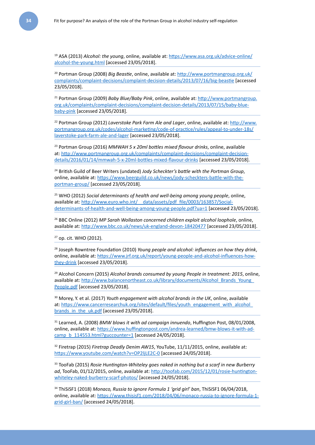19 ASA (2013) *Alcohol: the young*, online, available at: [https://www.asa.org.uk/advice-online/](https://www.asa.org.uk/advice-online/alcohol-the-young.html) [alcohol-the-young.html](https://www.asa.org.uk/advice-online/alcohol-the-young.html) [accessed 23/05/2018].

20 Portman Group (2008) *Big Beastie*, online, available at: [http://www.portmangroup.org.uk/](http://www.portmangroup.org.uk/complaints/complaint-decisions/complaint-decision-details/2013/07/16/big-beastie) [complaints/complaint-decisions/complaint-decision-details/2013/07/16/big-beastie](http://www.portmangroup.org.uk/complaints/complaint-decisions/complaint-decision-details/2013/07/16/big-beastie) [accessed 23/05/2018].

21 Portman Group (2009) *Baby Blue/Baby Pink*, online, available at: [http://www.portmangroup.](http://www.portmangroup.org.uk/complaints/complaint-decisions/complaint-decision-details/2013/07/15/baby-blue-baby-pink) [org.uk/complaints/complaint-decisions/complaint-decision-details/2013/07/15/baby-blue](http://www.portmangroup.org.uk/complaints/complaint-decisions/complaint-decision-details/2013/07/15/baby-blue-baby-pink)[baby-pink](http://www.portmangroup.org.uk/complaints/complaint-decisions/complaint-decision-details/2013/07/15/baby-blue-baby-pink) [accessed 23/05/2018].

22 Portman Group (2012) *Laverstoke Park Farm Ale and Lager*, online, available at: [http://www.](http://www.portmangroup.org.uk/codes/alcohol-marketing/code-of-practice/rules/appeal-to-under-18s/laverstoke-park-farm-ale-and-lager) [portmangroup.org.uk/codes/alcohol-marketing/code-of-practice/rules/appeal-to-under-18s/](http://www.portmangroup.org.uk/codes/alcohol-marketing/code-of-practice/rules/appeal-to-under-18s/laverstoke-park-farm-ale-and-lager) [laverstoke-park-farm-ale-and-lager](http://www.portmangroup.org.uk/codes/alcohol-marketing/code-of-practice/rules/appeal-to-under-18s/laverstoke-park-farm-ale-and-lager) [accessed 23/05/2018].

23 Portman Group (2016) *MMWAH 5 x 20ml bottles mixed flavour drinks*, online, available at: [http://www.portmangroup.org.uk/complaints/complaint-decisions/complaint-decision](http://www.portmangroup.org.uk/complaints/complaint-decisions/complaint-decision-details/2016/01/14/mmwah-5-x-20ml-bottles-mixed-flavour-drinks)[details/2016/01/14/mmwah-5-x-20ml-bottles-mixed-flavour-drinks](http://www.portmangroup.org.uk/complaints/complaint-decisions/complaint-decision-details/2016/01/14/mmwah-5-x-20ml-bottles-mixed-flavour-drinks) [accessed 23/05/2018].

24 British Guild of Beer Writers (undated) *Jody Scheckter's battle with the Portman Group*, online, available at: [https://www.beerguild.co.uk/news/jody-scheckters-battle-with-the](https://www.beerguild.co.uk/news/jody-scheckters-battle-with-the-portman-group/)[portman-group/](https://www.beerguild.co.uk/news/jody-scheckters-battle-with-the-portman-group/) [accessed 23/05/2018].

25 WHO (2012) *Social determinants of health and well-being among young people*, online, available at: http://www.euro.who.int/ data/assets/pdf file/0003/163857/Social[determinants-of-health-and-well-being-among-young-people.pdf?ua=1](http://www.euro.who.int/__data/assets/pdf_file/0003/163857/Social-determinants-of-health-and-well-being-among-young-people.pdf?ua=1) [accessed 23/05/2018].

26 BBC Online (2012) *MP Sarah Wollaston concerned children exploit alcohol loophole*, online, available at: <http://www.bbc.co.uk/news/uk-england-devon-18420477> [accessed 23/05/2018].

27 op. cit. WHO (2012).

28 Joseph Rowntree Foundation (2010) *Young people and alcohol: influences on how they drink*, online, available at: [https://www.jrf.org.uk/report/young-people-and-alcohol-influences-how](https://www.jrf.org.uk/report/young-people-and-alcohol-influences-how-they-drink)[they-drink](https://www.jrf.org.uk/report/young-people-and-alcohol-influences-how-they-drink) [accessed 23/05/2018].

29 Alcohol Concern (2015) *Alcohol brands consumed by young People in treatment: 2015*, online, available at: [http://www.balancenortheast.co.uk/library/documents/Alcohol\\_Brands\\_Young\\_](http://www.balancenortheast.co.uk/library/documents/Alcohol_Brands_Young_People.pdf) [People.pdf](http://www.balancenortheast.co.uk/library/documents/Alcohol_Brands_Young_People.pdf) [accessed 23/05/2018].

30 Morey, Y. et al. (2017) *Youth engagement with alcohol brands in the UK*, online, available at: https://www.cancerresearchuk.org/sites/default/files/youth\_engagement\_with\_alcohol [brands\\_in\\_the\\_uk.pdf](https://www.cancerresearchuk.org/sites/default/files/youth_engagement_with_alcohol_brands_in_the_uk.pdf) [accessed 23/05/2018].

31 Learned, A. (2008) *BMW blows it with ad campaign innuendo*, Huffington Post, 08/01/2008, online, available at: [https://www.huffingtonpost.com/andrea-learned/bmw-blows-it-with-ad](https://www.huffingtonpost.com/andrea-learned/bmw-blows-it-with-ad-camp_b_114553.html?guccounter=1)[camp\\_b\\_114553.html?guccounter=1](https://www.huffingtonpost.com/andrea-learned/bmw-blows-it-with-ad-camp_b_114553.html?guccounter=1) [accessed 24/05/2018].

32 Firetrap (2015) *Firetrap Deadly Denim AW15*, YouTube, 11/11/2015, online, available at: <https://www.youtube.com/watch?v=OP2ljLE2C-0> [accessed 24/05/2018].

<sup>33</sup> TooFab (2015) *Rosie Huntington-Whiteley goes naked in nothing but a scarf in new Burberry ad*, TooFab, 01/12/2015, online, available at: [http://toofab.com/2015/12/01/rosie-huntington](http://toofab.com/2015/12/01/rosie-huntington-whiteley-naked-burberry-scarf-photos/)[whiteley-naked-burberry-scarf-photos/](http://toofab.com/2015/12/01/rosie-huntington-whiteley-naked-burberry-scarf-photos/) [accessed 24/05/2018].

<sup>34</sup> ThiSiSF1 (2018) *Monaco, Russia to ignore Formula 1 'grid girl' ban*, ThiSiSF1 06/04/2018, online, available at: [https://www.thisisf1.com/2018/04/06/monaco-russia-to-ignore-formula-1](https://www.thisisf1.com/2018/04/06/monaco-russia-to-ignore-formula-1-grid-girl-ban/) [grid-girl-ban/](https://www.thisisf1.com/2018/04/06/monaco-russia-to-ignore-formula-1-grid-girl-ban/) [accessed 24/05/2018].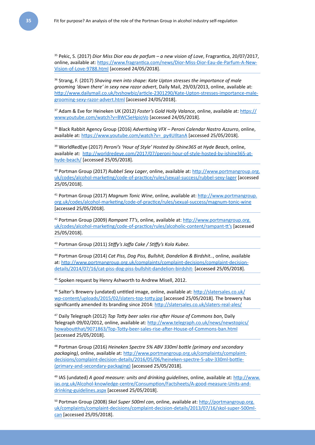35 Pekic, S. (2017) *Dior Miss Dior eau de parfum – a new vision of Love*, Fragrantica, 20/07/2017, online, available at: [https://www.fragrantica.com/news/Dior-Miss-Dior-Eau-de-Parfum-A-New-](https://www.fragrantica.com/news/Dior-Miss-Dior-Eau-de-Parfum-A-New-Vision-of-Love-9788.html)[Vision-of-Love-9788.html](https://www.fragrantica.com/news/Dior-Miss-Dior-Eau-de-Parfum-A-New-Vision-of-Love-9788.html) [accessed 24/05/2018].

36 Strang, F. (2017) *Shaving men into shape: Kate Upton stresses the importance of male grooming 'down there' in sexy new razor advert*, Daily Mail, 29/03/2013, online, available at: [http://www.dailymail.co.uk/tvshowbiz/article-2301290/Kate-Upton-stresses-importance-male](http://www.dailymail.co.uk/tvshowbiz/article-2301290/Kate-Upton-stresses-importance-male-grooming-sexy-razor-advert.html)[grooming-sexy-razor-advert.html](http://www.dailymail.co.uk/tvshowbiz/article-2301290/Kate-Upton-stresses-importance-male-grooming-sexy-razor-advert.html) [accessed 24/05/2018].

37 Adam & Eve for Heineken UK (2012) *Foster's Gold Holly Valance*, online, available at: [https://](https://www.youtube.com/watch?v=BWCSeHpioVo) [www.youtube.com/watch?v=BWCSeHpioVo](https://www.youtube.com/watch?v=BWCSeHpioVo) [accessed 24/05/2018].

38 Black Rabbit Agency Group (2016) *Advertising VFX – Peroni Calendar Nastro Azzurro*, online, available at: [https://www.youtube.com/watch?v=\\_py4UIltanA](https://www.youtube.com/watch?v=_py4UIltanA) [accessed 25/05/2018].

39 WorldRedEye (2017) *Peroni's 'Hour of Style' Hosted by iShine365 at Hyde Beach*, online, available at: [http://worldredeye.com/2017/07/peroni-hour-of-style-hosted-by-ishine365-at](http://worldredeye.com/2017/07/peroni-hour-of-style-hosted-by-ishine365-at-hyde-beach/)[hyde-beach/](http://worldredeye.com/2017/07/peroni-hour-of-style-hosted-by-ishine365-at-hyde-beach/) [accessed 25/05/2018].

40 Portman Group (2017) *Rubbel Sexy Lager*, online, available at: [http://www.portmangroup.org.](http://www.portmangroup.org.uk/codes/alcohol-marketing/code-of-practice/rules/sexual-success/rubbel-sexy-lager) [uk/codes/alcohol-marketing/code-of-practice/rules/sexual-success/rubbel-sexy-lager](http://www.portmangroup.org.uk/codes/alcohol-marketing/code-of-practice/rules/sexual-success/rubbel-sexy-lager) [accessed 25/05/2018].

41 Portman Group (2017) *Magnum Tonic Wine*, online, available at: [http://www.portmangroup.](http://www.portmangroup.org.uk/codes/alcohol-marketing/code-of-practice/rules/sexual-success/magnum-tonic-wine) [org.uk/codes/alcohol-marketing/code-of-practice/rules/sexual-success/magnum-tonic-wine](http://www.portmangroup.org.uk/codes/alcohol-marketing/code-of-practice/rules/sexual-success/magnum-tonic-wine) [accessed 25/05/2018].

42 Portman Group (2009) *Rampant TT's*, online, available at: [http://www.portmangroup.org.](http://www.portmangroup.org.uk/codes/alcohol-marketing/code-of-practice/rules/alcoholic-content/rampant-tt) [uk/codes/alcohol-marketing/code-of-practice/rules/alcoholic-content/rampant-tt's](http://www.portmangroup.org.uk/codes/alcohol-marketing/code-of-practice/rules/alcoholic-content/rampant-tt) [accessed 25/05/2018].

<sup>43</sup> Portman Group (2011) *Stiffy's Jaffa Cake / Stiffy's Kola Kubez*.

<sup>44</sup> Portman Group (2014) *Cat Piss, Dog Piss, Bullshit, Dandelion & Birdshit..*, online, available at: [http://www.portmangroup.org.uk/complaints/complaint-decisions/complaint-decision](http://www.portmangroup.org.uk/complaints/complaint-decisions/complaint-decision-details/2014/07/16/cat-piss-dog-piss-bullshit-dandelion-birdshit-)[details/2014/07/16/cat-piss-dog-piss-bullshit-dandelion-birdshit-](http://www.portmangroup.org.uk/complaints/complaint-decisions/complaint-decision-details/2014/07/16/cat-piss-dog-piss-bullshit-dandelion-birdshit-) [accessed 25/05/2018].

45 Spoken request by Henry Ashworth to Andrew Misell, 2012.

46 Salter's Brewery (undated) untitled image, online, available at: [http://slatersales.co.uk/](http://slatersales.co.uk/wp-content/uploads/2015/02/slaters-top-totty.jpg) [wp-content/uploads/2015/02/slaters-top-totty.jpg](http://slatersales.co.uk/wp-content/uploads/2015/02/slaters-top-totty.jpg) [accessed 25/05/2018]. The brewery has significantly amended its branding since 2014:<http://slatersales.co.uk/slaters-real-ales/>

47 Daily Telegraph (2012) *Top Totty beer sales rise after House of Commons ban*, Daily Telegraph 09/02/2012, online, available at: [http://www.telegraph.co.uk/news/newstopics/](http://www.telegraph.co.uk/news/newstopics/howaboutthat/9071863/Top-Totty-beer-sales-rise-after-House-of-Commons-ban.html) [howaboutthat/9071863/Top-Totty-beer-sales-rise-after-House-of-Commons-ban.html](http://www.telegraph.co.uk/news/newstopics/howaboutthat/9071863/Top-Totty-beer-sales-rise-after-House-of-Commons-ban.html) [accessed 25/05/2018].

48 Portman Group (2016) *Heineken Spectre 5% ABV 330ml bottle (primary and secondary packaging)*, online, available at: [http://www.portmangroup.org.uk/complaints/complaint](http://www.portmangroup.org.uk/complaints/complaint-decisions/complaint-decision-details/2016/05/06/heineken-spectre-5-abv-330ml-bottle-(primary-and-secondary-packaging))[decisions/complaint-decision-details/2016/05/06/heineken-spectre-5-abv-330ml-bottle-](http://www.portmangroup.org.uk/complaints/complaint-decisions/complaint-decision-details/2016/05/06/heineken-spectre-5-abv-330ml-bottle-(primary-and-secondary-packaging)) [\(primary-and-secondary-packaging\)](http://www.portmangroup.org.uk/complaints/complaint-decisions/complaint-decision-details/2016/05/06/heineken-spectre-5-abv-330ml-bottle-(primary-and-secondary-packaging)) [accessed 25/05/2018].

49 IAS (undated) *A good measure: units and drinking guidelines*, online, available at: [http://www.](http://www.ias.org.uk/Alcohol-knowledge-centre/Consumption/Factsheets/A-good-measure-Units-and-drinking-guidelines.aspx) [ias.org.uk/Alcohol-knowledge-centre/Consumption/Factsheets/A-good-measure-Units-and](http://www.ias.org.uk/Alcohol-knowledge-centre/Consumption/Factsheets/A-good-measure-Units-and-drinking-guidelines.aspx)[drinking-guidelines.aspx](http://www.ias.org.uk/Alcohol-knowledge-centre/Consumption/Factsheets/A-good-measure-Units-and-drinking-guidelines.aspx) [accessed 25/05/2018].

50 Portman Group (2008) *Skol Super 500ml can*, online, available at: [http://portmangroup.org.](http://portmangroup.org.uk/complaints/complaint-decisions/complaint-decision-details/2013/07/16/skol-super-500ml-can) [uk/complaints/complaint-decisions/complaint-decision-details/2013/07/16/skol-super-500ml](http://portmangroup.org.uk/complaints/complaint-decisions/complaint-decision-details/2013/07/16/skol-super-500ml-can)[can](http://portmangroup.org.uk/complaints/complaint-decisions/complaint-decision-details/2013/07/16/skol-super-500ml-can) [accessed 25/05/2018].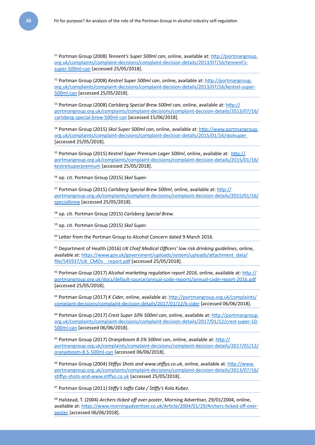51 Portman Group (2008) *Tennent's Super 500ml can*, online, available at: [http://portmangroup.](http://portmangroup.org.uk/complaints/complaint-decisions/complaint-decision-details/2013/07/16/tennent) [org.uk/complaints/complaint-decisions/complaint-decision-details/2013/07/16/tennent's](http://portmangroup.org.uk/complaints/complaint-decisions/complaint-decision-details/2013/07/16/tennent)[super-500ml-can](http://portmangroup.org.uk/complaints/complaint-decisions/complaint-decision-details/2013/07/16/tennent) [accessed 25/05/2018].

52 Portman Group (2008) *Kestrel Super 500ml can*, online, available at: [http://portmangroup.](http://portmangroup.org.uk/complaints/complaint-decisions/complaint-decision-details/2013/07/16/kestrel-super-500ml-can) [org.uk/complaints/complaint-decisions/complaint-decision-details/2013/07/16/kestrel-super-](http://portmangroup.org.uk/complaints/complaint-decisions/complaint-decision-details/2013/07/16/kestrel-super-500ml-can)[500ml-can](http://portmangroup.org.uk/complaints/complaint-decisions/complaint-decision-details/2013/07/16/kestrel-super-500ml-can) [accessed 25/05/2018].

53 Portman Group (2008) *Carlsberg Special Brew 500ml can*, online, available at: [http://](http://portmangroup.org.uk/complaints/complaint-decisions/complaint-decision-details/2013/07/16/carlsberg-special-brew-500ml-can) [portmangroup.org.uk/complaints/complaint-decisions/complaint-decision-details/2013/07/16/](http://portmangroup.org.uk/complaints/complaint-decisions/complaint-decision-details/2013/07/16/carlsberg-special-brew-500ml-can) [carlsberg-special-brew-500ml-can](http://portmangroup.org.uk/complaints/complaint-decisions/complaint-decision-details/2013/07/16/carlsberg-special-brew-500ml-can) [accessed 15/06/2018].

54 Portman Group (2015) *Skol Super 500ml can*, online, available at: [http://www.portmangroup.](http://www.portmangroup.org.uk/complaints/complaint-decisions/complaint-decision-details/2015/01/16/skolsuper) [org.uk/complaints/complaint-decisions/complaint-decision-details/2015/01/16/skolsuper](http://www.portmangroup.org.uk/complaints/complaint-decisions/complaint-decision-details/2015/01/16/skolsuper)  [accessed 25/05/2018].

55 Portman Group (2015) *Kestrel Super Premium Lager 500ml*, online, available at: [http://](http://portmangroup.org.uk/complaints/complaint-decisions/complaint-decision-details/2015/01/16/kestrelsuperpremium) [portmangroup.org.uk/complaints/complaint-decisions/complaint-decision-details/2015/01/16/](http://portmangroup.org.uk/complaints/complaint-decisions/complaint-decision-details/2015/01/16/kestrelsuperpremium) [kestrelsuperpremium](http://portmangroup.org.uk/complaints/complaint-decisions/complaint-decision-details/2015/01/16/kestrelsuperpremium) [accessed 25/05/2018].

56 op. cit. Portman Group (2015) *Skol Super*.

57 Portman Group (2015) *Carlsberg Special Brew 500ml*, online, available at: [http://](http://portmangroup.org.uk/complaints/complaint-decisions/complaint-decision-details/2015/01/16/specialbrew) [portmangroup.org.uk/complaints/complaint-decisions/complaint-decision-details/2015/01/16/](http://portmangroup.org.uk/complaints/complaint-decisions/complaint-decision-details/2015/01/16/specialbrew) [specialbrew](http://portmangroup.org.uk/complaints/complaint-decisions/complaint-decision-details/2015/01/16/specialbrew) [accessed 25/05/2018].

58 op. cit. Portman Group (2015) *Carlsberg Special Brew.*

59 op. cit. Portman Group (2015) *Skol Super*.

<sup>60</sup> Letter from the Portman Group to Alcohol Concern dated 9 March 2016.

61 Department of Health (2016) *UK Chief Medical Officers' low risk drinking guidelines*, online, available at: [https://www.gov.uk/government/uploads/system/uploads/attachment\\_data/](https://www.gov.uk/government/uploads/system/uploads/attachment_data/file/545937/UK_CMOs__report.pdf) [file/545937/UK\\_CMOs\\_\\_report.pdf](https://www.gov.uk/government/uploads/system/uploads/attachment_data/file/545937/UK_CMOs__report.pdf) [accessed 25/05/2018].

62 Portman Group (2017) *Alcohol marketing regulation report 2016*, online, available at: [http://](http://portmangroup.org.uk/docs/default-source/annual-code-reports/annual-code-report-2016.pdf) [portmangroup.org.uk/docs/default-source/annual-code-reports/annual-code-report-2016.pdf](http://portmangroup.org.uk/docs/default-source/annual-code-reports/annual-code-report-2016.pdf) [accessed 25/05/2018].

63 Portman Group (2017) *K Cider*, online, available at: [http://portmangroup.org.uk/complaints/](http://portmangroup.org.uk/complaints/complaint-decisions/complaint-decision-details/2017/01/12/k-cider) [complaint-decisions/complaint-decision-details/2017/01/12/k-cider](http://portmangroup.org.uk/complaints/complaint-decisions/complaint-decision-details/2017/01/12/k-cider) [accessed 06/06/2018].

64 Portman Group (2017) *Crest Super 10% 500ml can*, online, available at: [http://portmangroup.](http://portmangroup.org.uk/complaints/complaint-decisions/complaint-decision-details/2017/01/12/crest-super-10-500ml-can) [org.uk/complaints/complaint-decisions/complaint-decision-details/2017/01/12/crest-super-10-](http://portmangroup.org.uk/complaints/complaint-decisions/complaint-decision-details/2017/01/12/crest-super-10-500ml-can) [500ml-can](http://portmangroup.org.uk/complaints/complaint-decisions/complaint-decision-details/2017/01/12/crest-super-10-500ml-can) [accessed 06/06/2018].

65 Portman Group (2017) *Oranjeboom 8.5% 500ml can*, online, available at: [http://](http://portmangroup.org.uk/complaints/complaint-decisions/complaint-decision-details/2017/01/12/oranjeboom-8.5-500ml-can) [portmangroup.org.uk/complaints/complaint-decisions/complaint-decision-details/2017/01/12/](http://portmangroup.org.uk/complaints/complaint-decisions/complaint-decision-details/2017/01/12/oranjeboom-8.5-500ml-can) [oranjeboom-8.5-500ml-can](http://portmangroup.org.uk/complaints/complaint-decisions/complaint-decision-details/2017/01/12/oranjeboom-8.5-500ml-can) [accessed 06/06/2018].

66 Portman Group (2004) *Stiffys Shots and www.stiffys.co.uk*, online, available at: [http://www.](http://www.portmangroup.org.uk/complaints/complaint-decisions/complaint-decision-details/2013/07/16/stiffys-shots-and-www.stiffys.co.uk) [portmangroup.org.uk/complaints/complaint-decisions/complaint-decision-details/2013/07/16/](http://www.portmangroup.org.uk/complaints/complaint-decisions/complaint-decision-details/2013/07/16/stiffys-shots-and-www.stiffys.co.uk) [stiffys-shots-and-www.stiffys.co.uk](http://www.portmangroup.org.uk/complaints/complaint-decisions/complaint-decision-details/2013/07/16/stiffys-shots-and-www.stiffys.co.uk) [accessed 25/05/2018].

67 Portman Group (2011) *Stiffy's Jaffa Cake / Stiffy's Kola Kubez*.

68 Halstead, T. (2004) *Archers ticked off over poster*, Morning Advertiser, 29/01/2004, online, available at: [https://www.morningadvertiser.co.uk/Article/2004/01/29/Archers-ticked-off-over](https://www.morningadvertiser.co.uk/Article/2004/01/29/Archers-ticked-off-over-poster)[poster](https://www.morningadvertiser.co.uk/Article/2004/01/29/Archers-ticked-off-over-poster) [accessed 06/06/2018].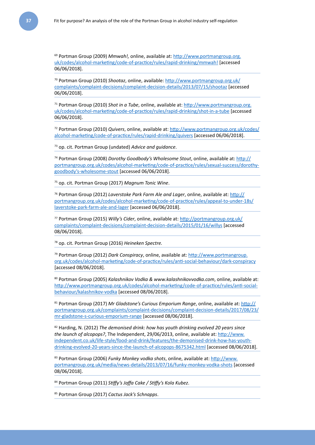69 Portman Group (2009) *Mmwah!,* online, available at: [http://www.portmangroup.org.](http://www.portmangroup.org.uk/codes/alcohol-marketing/code-of-practice/rules/rapid-drinking/mmwah) [uk/codes/alcohol-marketing/code-of-practice/rules/rapid-drinking/mmwah](http://www.portmangroup.org.uk/codes/alcohol-marketing/code-of-practice/rules/rapid-drinking/mmwah)! [accessed 06/06/2018].

70 Portman Group (2010) *Shootaz*, online, available: [http://www.portmangroup.org.uk/](http://www.portmangroup.org.uk/complaints/complaint-decisions/complaint-decision-details/2013/07/15/shootaz) [complaints/complaint-decisions/complaint-decision-details/2013/07/15/shootaz](http://www.portmangroup.org.uk/complaints/complaint-decisions/complaint-decision-details/2013/07/15/shootaz) [accessed 06/06/2018].

71 Portman Group (2010) *Shot in a Tube*, online, available at: [http://www.portmangroup.org.](http://www.portmangroup.org.uk/codes/alcohol-marketing/code-of-practice/rules/rapid-drinking/shot-in-a-tube) [uk/codes/alcohol-marketing/code-of-practice/rules/rapid-drinking/shot-in-a-tube](http://www.portmangroup.org.uk/codes/alcohol-marketing/code-of-practice/rules/rapid-drinking/shot-in-a-tube) [accessed 06/06/2018].

72 Portman Group (2010) *Quivers*, online, available at: [http://www.portmangroup.org.uk/codes/](http://www.portmangroup.org.uk/codes/alcohol-marketing/code-of-practice/rules/rapid-drinking/quivers) [alcohol-marketing/code-of-practice/rules/rapid-drinking/quivers](http://www.portmangroup.org.uk/codes/alcohol-marketing/code-of-practice/rules/rapid-drinking/quivers) [accessed 06/06/2018].

73 op. cit. Portman Group (undated) *Advice and guidance*.

74 Portman Group (2008) *Dorothy Goodbody's Wholesome Stout*, online, available at: [http://](http://portmangroup.org.uk/codes/alcohol-marketing/code-of-practice/rules/sexual-success/dorothy-goodbody) [portmangroup.org.uk/codes/alcohol-marketing/code-of-practice/rules/sexual-success/dorothy](http://portmangroup.org.uk/codes/alcohol-marketing/code-of-practice/rules/sexual-success/dorothy-goodbody)[goodbody's-wholesome-stout](http://portmangroup.org.uk/codes/alcohol-marketing/code-of-practice/rules/sexual-success/dorothy-goodbody) [accessed 06/06/2018].

75 op. cit. Portman Group (2017) *Magnum Tonic Wine*.

76 Portman Group (2012) *Laverstoke Park Farm Ale and Lager*, online, available at: [http://](http://portmangroup.org.uk/codes/alcohol-marketing/code-of-practice/rules/appeal-to-under-18s/laverstoke-park-farm-ale-and-lager) [portmangroup.org.uk/codes/alcohol-marketing/code-of-practice/rules/appeal-to-under-18s/](http://portmangroup.org.uk/codes/alcohol-marketing/code-of-practice/rules/appeal-to-under-18s/laverstoke-park-farm-ale-and-lager) [laverstoke-park-farm-ale-and-lager](http://portmangroup.org.uk/codes/alcohol-marketing/code-of-practice/rules/appeal-to-under-18s/laverstoke-park-farm-ale-and-lager) [accessed 06/06/2018].

77 Portman Group (2015) *Willy's Cider*, online, available at: [http://portmangroup.org.uk/](http://portmangroup.org.uk/complaints/complaint-decisions/complaint-decision-details/2015/01/16/willys) [complaints/complaint-decisions/complaint-decision-details/2015/01/16/willys](http://portmangroup.org.uk/complaints/complaint-decisions/complaint-decision-details/2015/01/16/willys) [accessed 08/06/2018].

78 op. cit. Portman Group (2016) *Heineken Spectre.* 

79 Portman Group (2012) *Dark Conspiracy*, online, available at: [http://www.portmangroup.](http://www.portmangroup.org.uk/codes/alcohol-marketing/code-of-practice/rules/anti-social-behaviour/dark-conspiracy) [org.uk/codes/alcohol-marketing/code-of-practice/rules/anti-social-behaviour/dark-conspiracy](http://www.portmangroup.org.uk/codes/alcohol-marketing/code-of-practice/rules/anti-social-behaviour/dark-conspiracy) [accessed 08/06/2018].

80 Portman Group (2005) *Kalashnikov Vodka & www.kalashnikovvodka.com*, online, available at: [http://www.portmangroup.org.uk/codes/alcohol-marketing/code-of-practice/rules/anti-social](http://www.portmangroup.org.uk/codes/alcohol-marketing/code-of-practice/rules/anti-social-behaviour/kalashnikov-vodka)[behaviour/kalashnikov-vodka](http://www.portmangroup.org.uk/codes/alcohol-marketing/code-of-practice/rules/anti-social-behaviour/kalashnikov-vodka) [accessed 08/06/2018].

81 Portman Group (2017) *Mr Gladstone's Curious Emporium Range*, online, available at: [http://](http://portmangroup.org.uk/complaints/complaint-decisions/complaint-decision-details/2017/08/23/mr-gladstone-s-curious-emporium-range) [portmangroup.org.uk/complaints/complaint-decisions/complaint-decision-details/2017/08/23/](http://portmangroup.org.uk/complaints/complaint-decisions/complaint-decision-details/2017/08/23/mr-gladstone-s-curious-emporium-range) [mr-gladstone-s-curious-emporium-range](http://portmangroup.org.uk/complaints/complaint-decisions/complaint-decision-details/2017/08/23/mr-gladstone-s-curious-emporium-range) [accessed 08/06/2018].

82 Harding, N. (2012) *The demonised drink: how has youth drinking evolved 20 years since the launch of alcopops?*, The Independent, 29/06/2013, online, available at: [http://www.](http://www.independent.co.uk/life-style/food-and-drink/features/the-demonised-drink-how-has-youth-drinking-evolved-20-years-since-the-launch-of-alcopops-8675342.html) [independent.co.uk/life-style/food-and-drink/features/the-demonised-drink-how-has-youth](http://www.independent.co.uk/life-style/food-and-drink/features/the-demonised-drink-how-has-youth-drinking-evolved-20-years-since-the-launch-of-alcopops-8675342.html)[drinking-evolved-20-years-since-the-launch-of-alcopops-8675342.html](http://www.independent.co.uk/life-style/food-and-drink/features/the-demonised-drink-how-has-youth-drinking-evolved-20-years-since-the-launch-of-alcopops-8675342.html) [accessed 08/06/2018].

83 Portman Group (2006) *Funky Monkey vodka shots*, online, available at: [http://www.](http://www.portmangroup.org.uk/media/news-details/2013/07/16/funky-monkey-vodka-shots) [portmangroup.org.uk/media/news-details/2013/07/16/funky-monkey-vodka-shots](http://www.portmangroup.org.uk/media/news-details/2013/07/16/funky-monkey-vodka-shots) [accessed 08/06/2018].

84 Portman Group (2011) *Stiffy's Jaffa Cake / Stiffy's Kola Kubez*.

85 Portman Group (2017) *Cactus Jack's Schnapps*.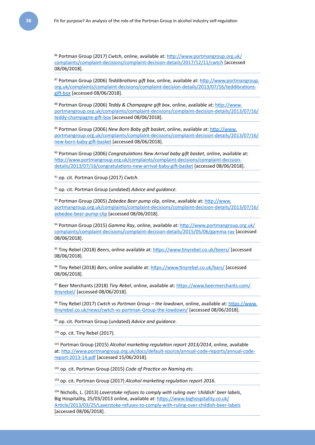86 Portman Group (2017) *Cwtch*, online, available at: [http://www.portmangroup.org.uk/](http://www.portmangroup.org.uk/complaints/complaint-decisions/complaint-decision-details/2017/12/11/cwtch) [complaints/complaint-decisions/complaint-decision-details/2017/12/11/cwtch](http://www.portmangroup.org.uk/complaints/complaint-decisions/complaint-decision-details/2017/12/11/cwtch) [accessed 08/06/2018].

87 Portman Group (2006) *Teddibrations gift box*, online, available at: [http://www.portmangroup.](http://www.portmangroup.org.uk/complaints/complaint-decisions/complaint-decision-details/2013/07/16/teddibrations-gift-box) [org.uk/complaints/complaint-decisions/complaint-decision-details/2013/07/16/teddibrations](http://www.portmangroup.org.uk/complaints/complaint-decisions/complaint-decision-details/2013/07/16/teddibrations-gift-box)[gift-box](http://www.portmangroup.org.uk/complaints/complaint-decisions/complaint-decision-details/2013/07/16/teddibrations-gift-box) [accessed 08/06/2018].

88 Portman Group (2006) *Teddy & Champagne gift box*, online, available at: [http://www.](http://www.portmangroup.org.uk/complaints/complaint-decisions/complaint-decision-details/2013/07/16/teddy-champagne-gift-box) [portmangroup.org.uk/complaints/complaint-decisions/complaint-decision-details/2013/07/16/](http://www.portmangroup.org.uk/complaints/complaint-decisions/complaint-decision-details/2013/07/16/teddy-champagne-gift-box) [teddy-champagne-gift-box](http://www.portmangroup.org.uk/complaints/complaint-decisions/complaint-decision-details/2013/07/16/teddy-champagne-gift-box) [accessed 08/06/2018].

89 Portman Group (2006) *New Born Baby gift basket*, online, available at: [http://www.](http://www.portmangroup.org.uk/complaints/complaint-decisions/complaint-decision-details/2013/07/16/new-born-baby-gift-basket) [portmangroup.org.uk/complaints/complaint-decisions/complaint-decision-details/2013/07/16/](http://www.portmangroup.org.uk/complaints/complaint-decisions/complaint-decision-details/2013/07/16/new-born-baby-gift-basket) [new-born-baby-gift-basket](http://www.portmangroup.org.uk/complaints/complaint-decisions/complaint-decision-details/2013/07/16/new-born-baby-gift-basket) [accessed 08/06/2018].

90 Portman Group (2006) *Congratulations New Arrival baby gift basket*, online, available at: [http://www.portmangroup.org.uk/complaints/complaint-decisions/complaint-decision](http://www.portmangroup.org.uk/complaints/complaint-decisions/complaint-decision-details/2013/07/16/congratulations-new-arrival-baby-gift-basket)[details/2013/07/16/congratulations-new-arrival-baby-gift-basket](http://www.portmangroup.org.uk/complaints/complaint-decisions/complaint-decision-details/2013/07/16/congratulations-new-arrival-baby-gift-basket) [accessed 08/06/2018].

91 op. cit. Portman Group (2017) *Cwtch*.

92 op. cit. Portman Group (undated) *Advice and guidance*.

93 Portman Group (2005) *Zebedee Beer pump clip*, online, available at: [http://www.](http://www.portmangroup.org.uk/complaints/complaint-decisions/complaint-decision-details/2013/07/16/zebedee-beer-pump-clip) [portmangroup.org.uk/complaints/complaint-decisions/complaint-decision-details/2013/07/16/](http://www.portmangroup.org.uk/complaints/complaint-decisions/complaint-decision-details/2013/07/16/zebedee-beer-pump-clip) [zebedee-beer-pump-clip](http://www.portmangroup.org.uk/complaints/complaint-decisions/complaint-decision-details/2013/07/16/zebedee-beer-pump-clip) [accessed 08/06/2018].

94 Portman Group (2015) *Gamma Ray*, online, available at: [http://www.portmangroup.org.uk/](http://www.portmangroup.org.uk/complaints/complaint-decisions/complaint-decision-details/2015/05/06/gamma-ray) [complaints/complaint-decisions/complaint-decision-details/2015/05/06/gamma-ray](http://www.portmangroup.org.uk/complaints/complaint-decisions/complaint-decision-details/2015/05/06/gamma-ray) [accessed 08/06/2018].

95 Tiny Rebel (2018) *Beers*, online available at:<https://www.tinyrebel.co.uk/beers/> [accessed 08/06/2018].

96 Tiny Rebel (2018) *Bars*, online available at: <https://www.tinyrebel.co.uk/bars/> [accessed 08/06/2018].

97 Beer Merchants (2018) *Tiny Rebel*, online, available at: [https://www.beermerchants.com/](https://www.beermerchants.com/tinyrebel/) [tinyrebel/](https://www.beermerchants.com/tinyrebel/) [accessed 08/06/2018].

98 Tiny Rebel (2017) *Cwtch vs Portman Group – the lowdown*, online, available at: [https://www.](https://www.tinyrebel.co.uk/news/cwtch-vs-portman-group-the-lowdown/) [tinyrebel.co.uk/news/cwtch-vs-portman-Group-the-lowdown/](https://www.tinyrebel.co.uk/news/cwtch-vs-portman-group-the-lowdown/) [accessed 08/06/2018].

99 op. cit. Portman Group (undated) *Advice and guidance*.

 $100$  op. cit. Tiny Rebel (2017).

101 Portman Group (2015) *Alcohol marketing regulation report 2013/2014*, online, available at: [http://www.portmangroup.org.uk/docs/default-source/annual-code-reports/annual-code](http://www.portmangroup.org.uk/docs/default-source/annual-code-reports/annual-code-report-2013-14.pdf)[report-2013-14.pdf](http://www.portmangroup.org.uk/docs/default-source/annual-code-reports/annual-code-report-2013-14.pdf) [accessed 15/06/2018].

102 op. cit. Portman Group (2015) *Code of Practice on Naming etc.*

103 op. cit. Portman Group (2017) *Alcohol marketing regulation report 2016*.

104 Nicholls, L. (2013) *Laverstoke refuses to comply with ruling over 'childish' beer labels*, Big Hospitality, 25/03/2013 online, available at: [https://www.bighospitality.co.uk/](https://www.bighospitality.co.uk/Article/2013/03/25/Laverstoke-refuses-to-comply-with-ruling-over-childish-beer-labels) [Article/2013/03/25/Laverstoke-refuses-to-comply-with-ruling-over-childish-beer-labels](https://www.bighospitality.co.uk/Article/2013/03/25/Laverstoke-refuses-to-comply-with-ruling-over-childish-beer-labels) [accessed 08/06/2018].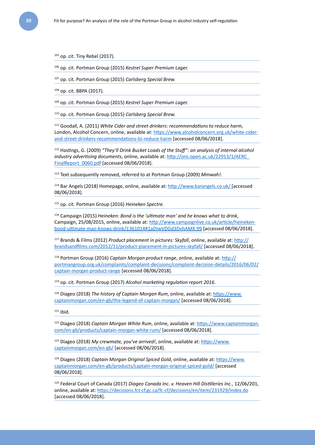$105$  op. cit. Tiny Rebel (2017).

106 op. cit. Portman Group (2015) *Kestrel Super Premium Lager.*

107 op. cit. Portman Group (2015) *Carlsberg Special Brew.*

108 op. cit. BBPA (2017).

109 op. cit. Portman Group (2015) *Kestrel Super Premium Lager.*

110 op. cit. Portman Group (2015) *Carlsberg Special Brew.*

111 Goodall, A. (2011) *White Cider and street drinkers: recommendations to reduce harm*, London, Alcohol Concern, online, available at: [https://www.alcoholconcern.org.uk/white-cider](https://www.alcoholconcern.org.uk/white-cider-and-street-drinkers-recommendations-to-reduce-harm)[and-street-drinkers-recommendations-to-reduce-harm](https://www.alcoholconcern.org.uk/white-cider-and-street-drinkers-recommendations-to-reduce-harm) [accessed 08/06/2018].

112 Hastings, G. (2009) *"They'll Drink Bucket Loads of the Stuff": an analysis of internal alcohol industry advertising documents*, online, available at: [http://oro.open.ac.uk/22913/1/AERC\\_](http://oro.open.ac.uk/22913/1/AERC_FinalReport_0060.pdf) [FinalReport\\_0060.pdf](http://oro.open.ac.uk/22913/1/AERC_FinalReport_0060.pdf) [accessed 08/06/2018].

113 Text subsequently removed, referred to at Portman Group (2009) *Mmwah!.*

114 Bar Angels (2018) Homepage, online, available at: <http://www.barangels.co.uk/> [accessed 08/06/2018].

115 op. cit. Portman Group (2016) *Heineken Spectre.*

116 Campaign (2015) *Heineken: Bond is the 'ultimate man' and he knows what to drink*, Campaign, 25/08/2015, online, available at: http://www.campaignlive.co.uk/article/heinekenbond-ultimate-man-knows-drink/1361014#1aDIwVDGd3DvhAMX.99 [accessed 08/06/2018].

117 Brands & Films (2012) *Product placement in pictures: Skyfall*, online, available at: [http://](http://brandsandfilms.com/2012/11/product-placement-in-pictures-skyfall/) [brandsandfilms.com/2012/11/product-placement-in-pictures-skyfall/](http://brandsandfilms.com/2012/11/product-placement-in-pictures-skyfall/) [accessed 08/06/2018].

118 Portman Group (2016) *Captain Morgan product range*, online, available at: [http://](http://portmangroup.org.uk/complaints/complaint-decisions/complaint-decision-details/2016/06/02/captain-morgan-product-range) [portmangroup.org.uk/complaints/complaint-decisions/complaint-decision-details/2016/06/02/](http://portmangroup.org.uk/complaints/complaint-decisions/complaint-decision-details/2016/06/02/captain-morgan-product-range) [captain-morgan-product-range](http://portmangroup.org.uk/complaints/complaint-decisions/complaint-decision-details/2016/06/02/captain-morgan-product-range) [accessed 08/06/2018].

119 op. cit. Portman Group (2017) *Alcohol marketing regulation report 2016*.

120 Diageo (2018) *The history of Captain Morgan Rum*, online, available at: [https://www.](https://www.captainmorgan.com/en-gb/the-legend-of-captain-morgan/) [captainmorgan.com/en-gb/the-legend-of-captain-morgan/](https://www.captainmorgan.com/en-gb/the-legend-of-captain-morgan/) [accessed 08/06/2018].

 $121$  ibid.

122 Diageo (2018) *Captain Morgan White Rum*, online, available at: [https://www.captainmorgan.](https://www.captainmorgan.com/en-gb/products/captain-morgan-white-rum/) [com/en-gb/products/captain-morgan-white-rum/](https://www.captainmorgan.com/en-gb/products/captain-morgan-white-rum/) [accessed 08/06/2018].

123 Diageo (2018) *My crewmate, you've arrived!*, online, available at: [https://www.](https://www.captainmorgan.com/en-gb/) [captainmorgan.com/en-gb/](https://www.captainmorgan.com/en-gb/) [accessed 08/06/2018].

124 Diageo (2018) *Captain Morgan Original Spiced Gold*, online, available at: [https://www.](https://www.captainmorgan.com/en-gb/products/captain-morgan-original-spiced-gold/) [captainmorgan.com/en-gb/products/captain-morgan-original-spiced-gold/](https://www.captainmorgan.com/en-gb/products/captain-morgan-original-spiced-gold/) [accessed 08/06/2018].

125 Federal Court of Canada (2017) *Diageo Canada Inc. v. Heaven Hill Distilleries Inc.*, 12/06/201, online, available at: <https://decisions.fct-cf.gc.ca/fc-cf/decisions/en/item/231929/index.do> [accessed 08/06/2018].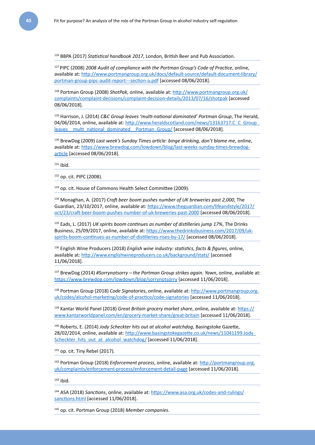126 BBPA (2017) *Statistical handbook 2017*, London, British Beer and Pub Association.

127 PIPC (2008) *2008 Audit of compliance with the Portman Group's Code of Practice*, online, available at: [http://www.portmangroup.org.uk/docs/default-source/default-document-library/](http://www.portmangroup.org.uk/docs/default-source/default-document-library/portman-group-pipc-audit-report---section-a.pdf) [portman-group-pipc-audit-report---section-a.pdf](http://www.portmangroup.org.uk/docs/default-source/default-document-library/portman-group-pipc-audit-report---section-a.pdf) [accessed 08/06/2018].

128 Portman Group (2008) *ShotPak*, online, available at: [http://www.portmangroup.org.uk/](http://www.portmangroup.org.uk/complaints/complaint-decisions/complaint-decision-details/2013/07/16/shotpak) [complaints/complaint-decisions/complaint-decision-details/2013/07/16/shotpak](http://www.portmangroup.org.uk/complaints/complaint-decisions/complaint-decision-details/2013/07/16/shotpak) [accessed 08/06/2018].

129 Harrison, J. (2014) *C&C Group leaves 'multi-national dominated' Portman Group*, The Herald, 04/06/2014, online, available at: http://www.heraldscotland.com/news/13163717.C\_C\_Group leaves \_ multi\_national\_dominated \_ Portman\_Group/ [accessed 08/06/2018].

130 BrewDog (2009) *Last week's Sunday Times article: binge drinking, don't blame me*, online, available at: [https://www.brewdog.com/lowdown/blog/last-weeks-sunday-times-brewdog](https://www.brewdog.com/lowdown/blog/last-weeks-sunday-times-brewdog-article)[article](https://www.brewdog.com/lowdown/blog/last-weeks-sunday-times-brewdog-article) [accessed 08/06/2018].

 $131$  ibid.

132 op. cit. PIPC (2008).

133 op. cit. House of Commons Health Select Committee (2009).

134 Monaghan, A. (2017) *Craft beer boom pushes number of UK breweries past 2,000*, The Guardian, 23/10/2017, online, available at: [https://www.theguardian.com/lifeandstyle/2017/](https://www.theguardian.com/lifeandstyle/2017/oct/23/craft-beer-boom-pushes-number-of-uk-breweries-past-2000) [oct/23/craft-beer-boom-pushes-number-of-uk-breweries-past-2000](https://www.theguardian.com/lifeandstyle/2017/oct/23/craft-beer-boom-pushes-number-of-uk-breweries-past-2000) [accessed 08/06/2018].

135 Eads, L. (2017) *UK spirits boom continues as number of distilleries jump 17%*, The Drinks Business, 25/09/2017, online, available at: [https://www.thedrinksbusiness.com/2017/09/uk](https://www.thedrinksbusiness.com/2017/09/uk-spirits-boom-continues-as-number-of-distilleries-rises-by-17/)[spirits-boom-continues-as-number-of-distilleries-rises-by-17/](https://www.thedrinksbusiness.com/2017/09/uk-spirits-boom-continues-as-number-of-distilleries-rises-by-17/) [accessed 08/06/2018].

136 English Wine Producers (2018) *English wine industry: statistics, facts & figures*, online, available at: <http://www.englishwineproducers.co.uk/background/stats/> [accessed 11/06/2018].

137 BrewDog (2014) *#Sorrynotsorry – the Portman Group strikes again. Yawn*, online, available at: <https://www.brewdog.com/lowdown/blog/sorrynotsorry> [accessed 11/06/2018].

138 Portman Group (2018) *Code Signatories*, online, available at: [http://www.portmangroup.org.](http://www.portmangroup.org.uk/codes/alcohol-marketing/code-of-practice/code-signatories) [uk/codes/alcohol-marketing/code-of-practice/code-signatories](http://www.portmangroup.org.uk/codes/alcohol-marketing/code-of-practice/code-signatories) [accessed 11/06/2018].

<sup>139</sup> Kantar World Panel (2018) *Great Britain grocery market share*, online, available at: [https://](https://www.kantarworldpanel.com/en/grocery-market-share/great-britain) [www.kantarworldpanel.com/en/grocery-market-share/great-britain](https://www.kantarworldpanel.com/en/grocery-market-share/great-britain) [accessed 11/06/2018].

140 Roberts, E. (2014) *Jody Scheckter hits out at alcohol watchdog*, Basingstoke Gazette, 28/02/2014, online, available at: [http://www.basingstokegazette.co.uk/news/11041199.Jody\\_](http://www.basingstokegazette.co.uk/news/11041199.Jody_Scheckter_hits_out_at_alcohol_watchdog/) [Scheckter\\_hits\\_out\\_at\\_alcohol\\_watchdog/](http://www.basingstokegazette.co.uk/news/11041199.Jody_Scheckter_hits_out_at_alcohol_watchdog/) [accessed 11/06/2018].

 $141$  op. cit. Tiny Rebel (2017).

142 Portman Group (2018) *Enforcement process*, online, available at: [http://portmangroup.org.](http://portmangroup.org.uk/complaints/enforcement-process/enforcement-detail-page) [uk/complaints/enforcement-process/enforcement-detail-page](http://portmangroup.org.uk/complaints/enforcement-process/enforcement-detail-page) [accessed 11/06/2018].

 $143$  ibid.

144 ASA (2018) *Sanctions*, online, available at: [https://www.asa.org.uk/codes-and-rulings/](https://www.asa.org.uk/codes-and-rulings/sanctions.html) [sanctions.html](https://www.asa.org.uk/codes-and-rulings/sanctions.html) [accessed 11/06/2018].

145 op. cit. Portman Group (2018) *Member companies.*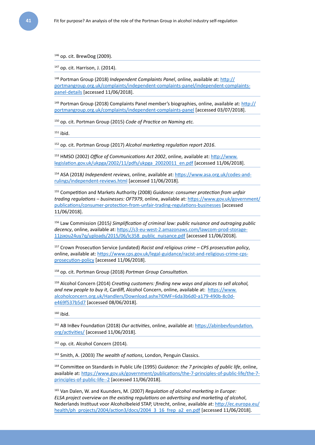146 op. cit. BrewDog (2009).

147 op. cit. Harrison, J. (2014).

148 Portman Group (2018) *Independent Complaints Panel*, online, available at: [http://](http://portmangroup.org.uk/complaints/independent-complaints-panel/independent-complaints-panel-details) [portmangroup.org.uk/complaints/independent-complaints-panel/independent-complaints](http://portmangroup.org.uk/complaints/independent-complaints-panel/independent-complaints-panel-details)[panel-details](http://portmangroup.org.uk/complaints/independent-complaints-panel/independent-complaints-panel-details) [accessed 11/06/2018].

 $149$  Portman Group (2018) Complaints Panel member's biographies, online, available at: [http://](http://portmangroup.org.uk/complaints/independent-complaints-panel) [portmangroup.org.uk/complaints/independent-complaints-panel](http://portmangroup.org.uk/complaints/independent-complaints-panel) [accessed 03/07/2018].

150 op. cit. Portman Group (2015) *Code of Practice on Naming etc.*

 $151$  ibid.

152 op. cit. Portman Group (2017) *Alcohol marketing regulation report 2016*.

153 HMSO (2002) *Office of Communications Act 2002*, online, available at: [http://www.](http://www.legislation.gov.uk/ukpga/2002/11/pdfs/ukpga_20020011_en.pdf) [legislation.gov.uk/ukpga/2002/11/pdfs/ukpga\\_20020011\\_en.pdf](http://www.legislation.gov.uk/ukpga/2002/11/pdfs/ukpga_20020011_en.pdf) [accessed 11/06/2018].

154 ASA (2018*) Independent reviews*, online, available at: [https://www.asa.org.uk/codes-and](https://www.asa.org.uk/codes-and-rulings/independent-reviews.html)[rulings/independent-reviews.html](https://www.asa.org.uk/codes-and-rulings/independent-reviews.html) [accessed 11/06/2018].

155 Competition and Markets Authority (2008) *Guidance: consumer protection from unfair trading regulations – businesses: OFT979*, online, available at: [https://www.gov.uk/government/](https://www.gov.uk/government/publications/consumer-protection-from-unfair-trading-regulations-businesses) [publications/consumer-protection-from-unfair-trading-regulations-businesses](https://www.gov.uk/government/publications/consumer-protection-from-unfair-trading-regulations-businesses) [accessed 11/06/2018].

156 Law Commission (2015*) Simplification of criminal law: public nuisance and outraging public decency*, online, available at: [https://s3-eu-west-2.amazonaws.com/lawcom-prod-storage-](https://s3-eu-west-2.amazonaws.com/lawcom-prod-storage-11jsxou24uy7q/uploads/2015/06/lc358_public_nuisance.pdf)[11jsxou24uy7q/uploads/2015/06/lc358\\_public\\_nuisance.pdf](https://s3-eu-west-2.amazonaws.com/lawcom-prod-storage-11jsxou24uy7q/uploads/2015/06/lc358_public_nuisance.pdf) [accessed 11/06/2018].

157 Crown Prosecution Service (undated) *Racist and religious crime – CPS prosecution policy*, online, available at: [https://www.cps.gov.uk/legal-guidance/racist-and-religious-crime-cps](https://www.cps.gov.uk/legal-guidance/racist-and-religious-crime-cps-prosecution-policy)[prosecution-policy](https://www.cps.gov.uk/legal-guidance/racist-and-religious-crime-cps-prosecution-policy) [accessed 11/06/2018].

158 op. cit. Portman Group (2018) *Portman Group Consultation*.

159 Alcohol Concern (2014) *Creating customers: finding new ways and places to sell alcohol, and new people to buy it*, Cardiff, Alcohol Concern, online, available at: [https://www.](https://www.alcoholconcern.org.uk/Handlers/Download.ashx?IDMF=6da3b6d0-a179-490b-8c0d-e469f537b5d7) [alcoholconcern.org.uk/Handlers/Download.ashx?IDMF=6da3b6d0-a179-490b-8c0d](https://www.alcoholconcern.org.uk/Handlers/Download.ashx?IDMF=6da3b6d0-a179-490b-8c0d-e469f537b5d7)[e469f537b5d7](https://www.alcoholconcern.org.uk/Handlers/Download.ashx?IDMF=6da3b6d0-a179-490b-8c0d-e469f537b5d7) [accessed 08/06/2018].

 $160$  ibid.

161 AB InBev Foundation (2018) *Our activities*, online, available at: [https://abinbevfoundation.](https://abinbevfoundation.org/activities/) [org/activities/](https://abinbevfoundation.org/activities/) [accessed 11/06/2018].

162 op. cit. Alcohol Concern (2014)*.*

163 Smith, A. (2003) *The wealth of nations*, London, Penguin Classics.

164 Committee on Standards in Public Life (1995) *Guidance: the 7 principles of public life*, online, available at: [https://www.gov.uk/government/publications/the-7-principles-of-public-life/the-7](https://www.gov.uk/government/publications/the-7-principles-of-public-life/the-7-principles-of-public-life--2) [principles-of-public-life--2](https://www.gov.uk/government/publications/the-7-principles-of-public-life/the-7-principles-of-public-life--2) [accessed 11/06/2018].

165 Van Dalen, W. and Kuunders, M. (2007) *Regulation of alcohol marketing in Europe: ELSA project overview on the existing regulations on advertising and marketing of alcohol*, Nederlands Instituut voor Alcoholbeleid STAP, Utrecht, online, available at: [http://ec.europa.eu/](http://ec.europa.eu/health/ph_projects/2004/action3/docs/2004_3_16_frep_a2_en.pdf) [health/ph\\_projects/2004/action3/docs/2004\\_3\\_16\\_frep\\_a2\\_en.pdf](http://ec.europa.eu/health/ph_projects/2004/action3/docs/2004_3_16_frep_a2_en.pdf) [accessed 11/06/2018].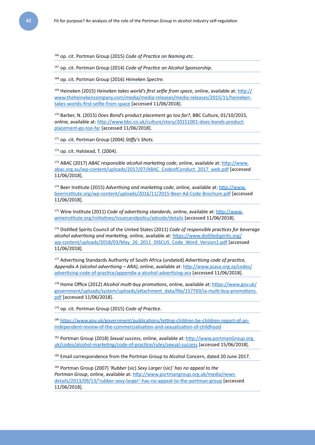166 op. cit. Portman Group (2015) *Code of Practice on Naming etc.*

167 op. cit. Portman Group (2014) *Code of Practice on Alcohol Sponsorship.*

168 op. cit. Portman Group (2016) *Heineken Spectre.*

169 Heineken (2015) *Heineken takes world's first selfie from space*, online, available at: [http://](http://www.theheinekencompany.com/media/media-releases/media-releases/2015/11/heineken-takes-worlds-first-selfie-from-space) [www.theheinekencompany.com/media/media-releases/media-releases/2015/11/heineken](http://www.theheinekencompany.com/media/media-releases/media-releases/2015/11/heineken-takes-worlds-first-selfie-from-space)[takes-worlds-first-selfie-from-space](http://www.theheinekencompany.com/media/media-releases/media-releases/2015/11/heineken-takes-worlds-first-selfie-from-space) [accessed 11/06/2018].

170 Barber, N. (2015) *Does Bond's product placement go too far?*, BBC Culture, 01/10/2015, online, available at: [http://www.bbc.co.uk/culture/story/20151001-does-bonds-product](http://www.bbc.co.uk/culture/story/20151001-does-bonds-product-placement-go-too-far)[placement-go-too-far](http://www.bbc.co.uk/culture/story/20151001-does-bonds-product-placement-go-too-far) [accessed 11/06/2018].

171 op. cit. Portman Group (2004) *Stiffy's Shots.*

172 op. cit. Halstead, T. (2004).

173 ABAC (2017) *ABAC responsible alcohol marketing code*, online, available at: [http://www.](http://www.abac.org.au/wp-content/uploads/2017/07/ABAC_CodeofConduct_2017_web.pdf) [abac.org.au/wp-content/uploads/2017/07/ABAC\\_CodeofConduct\\_2017\\_web.pdf](http://www.abac.org.au/wp-content/uploads/2017/07/ABAC_CodeofConduct_2017_web.pdf) [accessed 11/06/2018].

174 Beer Institute (2015) *Advertising and marketing code*, online, available at: [http://www.](http://www.beerinstitute.org/wp-content/uploads/2016/11/2015-Beer-Ad-Code-Brochure.pdf) [beerinstitute.org/wp-content/uploads/2016/11/2015-Beer-Ad-Code-Brochure.pdf](http://www.beerinstitute.org/wp-content/uploads/2016/11/2015-Beer-Ad-Code-Brochure.pdf) [accessed 11/06/2018].

175 Wine Institute (2011) *Code of advertising standards*, online, available at: [http://www.](http://www.wineinstitute.org/initiatives/issuesandpolicy/adcode/details) [wineinstitute.org/initiatives/issuesandpolicy/adcode/details](http://www.wineinstitute.org/initiatives/issuesandpolicy/adcode/details) [accessed 11/06/2018].

176 Distilled Spirits Council of the United States (2011) *Code of responsible practices for beverage alcohol advertising and marketing*, online, available at: [https://www.distilledspirits.org/](https://www.distilledspirits.org/wp-content/uploads/2018/03/May_26_2011_DISCUS_Code_Word_Version1.pdf) [wp-content/uploads/2018/03/May\\_26\\_2011\\_DISCUS\\_Code\\_Word\\_Version1.pdf](https://www.distilledspirits.org/wp-content/uploads/2018/03/May_26_2011_DISCUS_Code_Word_Version1.pdf) [accessed 11/06/2018].

177 Advertising Standards Authority of South Africa (undated) *Advertising code of practice, Appendix A (alcohol advertising – ARA)*, online, available at: [http://www.asasa.org.za/codes/](http://www.asasa.org.za/codes/advertising-code-of-practice/appendix-a-alcohol-advertising-ara) [advertising-code-of-practice/appendix-a-alcohol-advertising-ara](http://www.asasa.org.za/codes/advertising-code-of-practice/appendix-a-alcohol-advertising-ara) [accessed 11/06/2018].

178 Home Office (2012) *Alcohol multi-buy promotions*, online, available at: [https://www.gov.uk/](https://www.gov.uk/government/uploads/system/uploads/attachment_data/file/157769/ia-multi-buy-promotions.pdf) [government/uploads/system/uploads/attachment\\_data/file/157769/ia-multi-buy-promotions.](https://www.gov.uk/government/uploads/system/uploads/attachment_data/file/157769/ia-multi-buy-promotions.pdf) [pdf](https://www.gov.uk/government/uploads/system/uploads/attachment_data/file/157769/ia-multi-buy-promotions.pdf) [accessed 11/06/2018].

179 op. cit. Portman Group (2015) *Code of Practice*.

<sup>180</sup> [https://www.gov.uk/government/publications/letting-children-be-children-report-of-an](https://www.gov.uk/government/publications/letting-children-be-children-report-of-an-independent-review-of-the-commercialisation-and-sexualisation-of-childhood)[independent-review-of-the-commercialisation-and-sexualisation-of-childhood](https://www.gov.uk/government/publications/letting-children-be-children-report-of-an-independent-review-of-the-commercialisation-and-sexualisation-of-childhood)

181 Portman Group (2018) *Sexual success*, online, available at: [http://www.portmanGroup.org.](http://www.portmangroup.org.uk/codes/alcohol-marketing/code-of-practice/rules/sexual-success) [uk/codes/alcohol-marketing/code-of-practice/rules/sexual-success](http://www.portmangroup.org.uk/codes/alcohol-marketing/code-of-practice/rules/sexual-success) [accessed 15/06/2018].

<sup>182</sup> Email correspondence from the Portman Group to Alcohol Concern, dated 20 June 2017.

183 Portman Group (2007) *'Rubber* (sic) *Sexy Larger* (sic)*' has no appeal to the*  Portman Group, online, available at: [http://www.portmangroup.org.uk/media/news](http://www.portmangroup.org.uk/media/news-details/2013/09/13/)[details/2013/09/13/'rubber-sexy-larger'-has-no-appeal-to-the-portman-group](http://www.portmangroup.org.uk/media/news-details/2013/09/13/) [accessed 11/06/2018].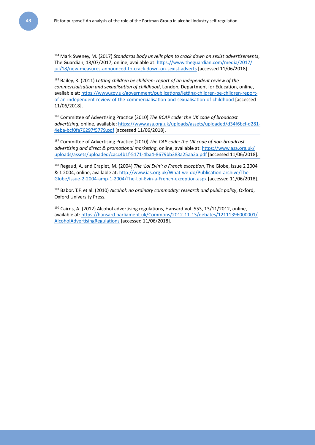184 Mark Sweney, M. (2017) *Standards body unveils plan to crack down on sexist advertisements*, The Guardian, 18/07/2017, online, available at: [https://www.theguardian.com/media/2017/](https://www.theguardian.com/media/2017/jul/18/new-measures-announced-to-crack-down-on-sexist-adverts) [jul/18/new-measures-announced-to-crack-down-on-sexist-adverts](https://www.theguardian.com/media/2017/jul/18/new-measures-announced-to-crack-down-on-sexist-adverts) [accessed 11/06/2018].

185 Bailey, R. (2011) *Letting children be children: report of an independent review of the commercialisation and sexualisation of childhood*, London, Department for Education, online, available at: [https://www.gov.uk/government/publications/letting-children-be-children-report](https://www.gov.uk/government/publications/letting-children-be-children-report-of-an-independent-review-of-the-commercialisation-and-sexualisation-of-childhood)[of-an-independent-review-of-the-commercialisation-and-sexualisation-of-childhood](https://www.gov.uk/government/publications/letting-children-be-children-report-of-an-independent-review-of-the-commercialisation-and-sexualisation-of-childhood) [accessed 11/06/2018].

186 Committee of Advertising Practice (2010) *The BCAP code: the UK code of broadcast advertising*, online, available: [https://www.asa.org.uk/uploads/assets/uploaded/d34f6bcf-d281-](https://www.asa.org.uk/uploads/assets/uploaded/d34f6bcf-d281-4eba-bcf0fa76297f5779.pdf) [4eba-bcf0fa76297f5779.pdf](https://www.asa.org.uk/uploads/assets/uploaded/d34f6bcf-d281-4eba-bcf0fa76297f5779.pdf) [accessed 11/06/2018].

187 Committee of Advertising Practice (2010) *The CAP code: the UK code of non-broadcast advertising and direct & promotional marketing*, online, available at: [https://www.asa.org.uk/](https://www.asa.org.uk/uploads/assets/uploaded/cacc4b1f-5171-4ba4-8679bb383a25aa2a.pdf) [uploads/assets/uploaded/cacc4b1f-5171-4ba4-8679bb383a25aa2a.pdf](https://www.asa.org.uk/uploads/assets/uploaded/cacc4b1f-5171-4ba4-8679bb383a25aa2a.pdf) [accessed 11/06/2018].

188 Regaud, A. and Craplet, M. (2004) *The 'Loi Evin': a French exception*, The Globe, Issue 2 2004 & 1 2004, online, available at: [http://www.ias.org.uk/What-we-do/Publication-archive/The-](http://www.ias.org.uk/What-we-do/Publication-archive/The-Globe/Issue-2-2004-amp-1-2004/The-Loi-Evin-a-French-exception.aspx)[Globe/Issue-2-2004-amp-1-2004/The-Loi-Evin-a-French-exception.aspx](http://www.ias.org.uk/What-we-do/Publication-archive/The-Globe/Issue-2-2004-amp-1-2004/The-Loi-Evin-a-French-exception.aspx) [accessed 11/06/2018].

189 Babor, T.F. et al. (2010) *Alcohol: no ordinary commodity: research and public policy*, Oxford, Oxford University Press.

<sup>190</sup> Cairns, A. (2012) Alcohol advertising regulations, Hansard Vol. 553, 13/11/2012, online, available at: [https://hansard.parliament.uk/Commons/2012-11-13/debates/12111396000001/](https://hansard.parliament.uk/Commons/2012-11-13/debates/12111396000001/AlcoholAdvertisingRegulations) [AlcoholAdvertisingRegulations](https://hansard.parliament.uk/Commons/2012-11-13/debates/12111396000001/AlcoholAdvertisingRegulations) [accessed 11/06/2018].